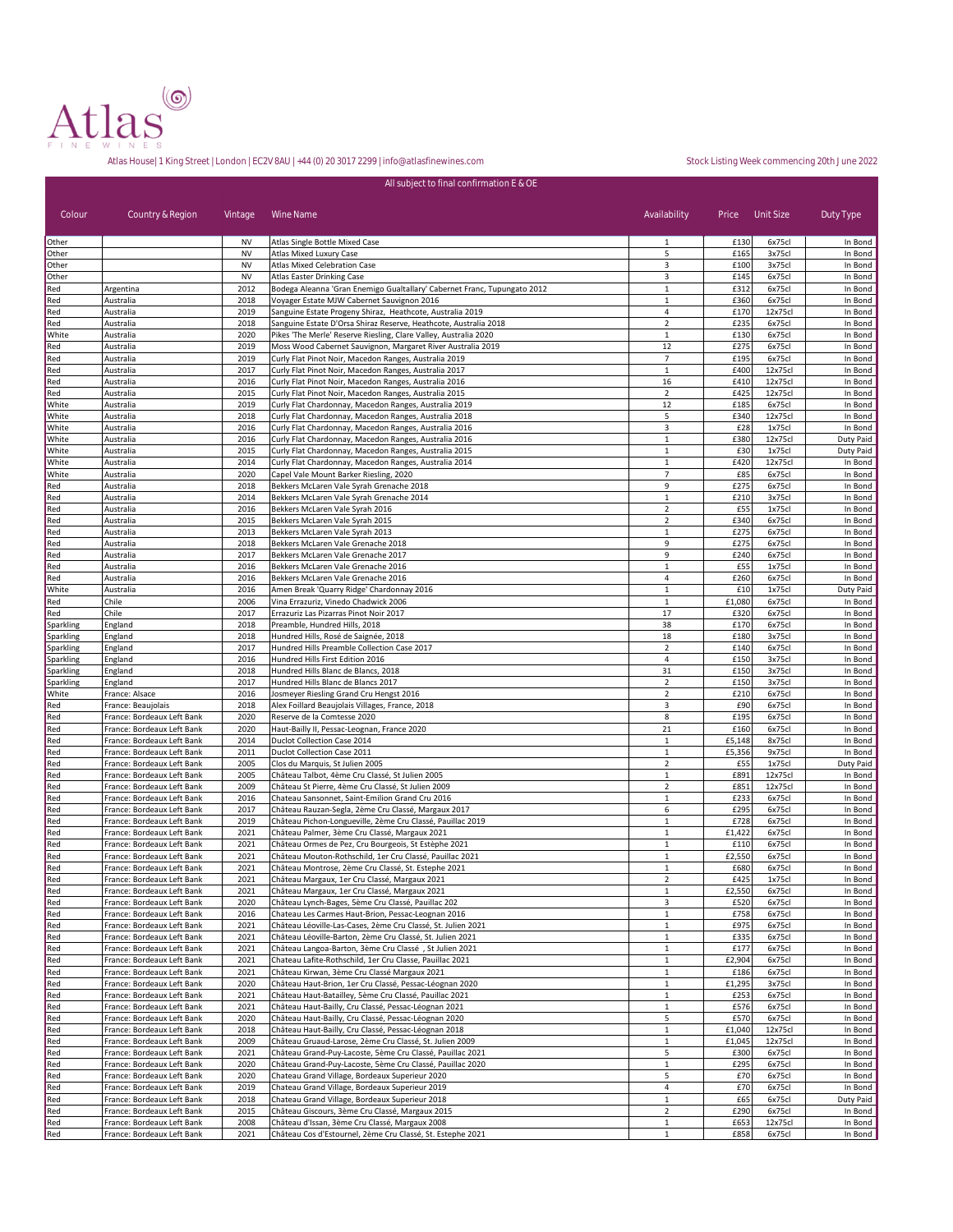

| All subject to final confirmation E & OE |                                                          |                        |                                                                                                                    |                                |                  |                   |                    |  |
|------------------------------------------|----------------------------------------------------------|------------------------|--------------------------------------------------------------------------------------------------------------------|--------------------------------|------------------|-------------------|--------------------|--|
| Colour                                   | Country & Region                                         | Vintage                | Wine Name                                                                                                          | Availability                   | Price            | Unit Size         | Duty Type          |  |
| Other                                    |                                                          | <b>NV</b>              | Atlas Single Bottle Mixed Case                                                                                     | $\mathbf{1}$                   | £130             | 6x75cl            | In Bond            |  |
| Other                                    |                                                          | <b>NV</b>              | Atlas Mixed Luxury Case                                                                                            | 5                              | £165             | 3x75cl            | In Bond            |  |
| Other                                    |                                                          | <b>NV</b><br><b>NV</b> | Atlas Mixed Celebration Case<br>Atlas Easter Drinking Case                                                         | 3<br>3                         | £100<br>£145     | 3x75cl<br>6x75cl  | In Bond<br>In Bond |  |
| Other<br>Red                             | Argentina                                                | 2012                   | Bodega Aleanna 'Gran Enemigo Gualtallary' Cabernet Franc, Tupungato 2012                                           | $1\,$                          | £312             | 6x75cl            | In Bond            |  |
| Red                                      | Australia                                                | 2018                   | Voyager Estate MJW Cabernet Sauvignon 2016                                                                         | $\mathbf 1$                    | £360             | 6x75cl            | In Bond            |  |
| Red                                      | Australia                                                | 2019                   | Sanguine Estate Progeny Shiraz, Heathcote, Australia 2019                                                          | $\sqrt{4}$                     | £170             | 12x75cl           | In Bond            |  |
| Red                                      | Australia                                                | 2018                   | Sanguine Estate D'Orsa Shiraz Reserve, Heathcote, Australia 2018                                                   | $\overline{2}$                 | £235             | 6x75cl            | In Bond            |  |
| White                                    | Australia                                                | 2020                   | Pikes 'The Merle' Reserve Riesling, Clare Valley, Australia 2020                                                   | $1\,$                          | £130             | 6x75cl            | In Bond            |  |
| Red                                      | Australia                                                | 2019                   | Moss Wood Cabernet Sauvignon, Margaret River Australia 2019                                                        | 12                             | £275             | 6x75cl            | In Bond            |  |
| Red<br>Red                               | Australia<br>Australia                                   | 2019<br>2017           | Curly Flat Pinot Noir, Macedon Ranges, Australia 2019<br>Curly Flat Pinot Noir, Macedon Ranges, Australia 2017     | $\overline{7}$<br>$\mathbf{1}$ | £195<br>£400     | 6x75cl<br>12x75cl | In Bond<br>In Bond |  |
| Red                                      | Australia                                                | 2016                   | Curly Flat Pinot Noir, Macedon Ranges, Australia 2016                                                              | 16                             | £410             | 12x75cl           | In Bond            |  |
| Red                                      | Australia                                                | 2015                   | Curly Flat Pinot Noir, Macedon Ranges, Australia 2015                                                              | $\mathbf 2$                    | £425             | 12x75cl           | In Bond            |  |
| White                                    | Australia                                                | 2019                   | Curly Flat Chardonnay, Macedon Ranges, Australia 2019                                                              | 12                             | £185             | 6x75cl            | In Bond            |  |
| White                                    | Australia                                                | 2018                   | Curly Flat Chardonnay, Macedon Ranges, Australia 2018                                                              | 5                              | £340             | 12x75cl           | In Bond            |  |
| White                                    | Australia                                                | 2016                   | Curly Flat Chardonnay, Macedon Ranges, Australia 2016                                                              | 3                              | £28              | 1x75cl            | In Bond            |  |
| White                                    | Australia                                                | 2016                   | Curly Flat Chardonnay, Macedon Ranges, Australia 2016                                                              | $\,1\,$                        | £380             | 12x75cl           | Duty Paid          |  |
| White                                    | Australia                                                | 2015                   | Curly Flat Chardonnay, Macedon Ranges, Australia 2015                                                              | $1\,$                          | £30              | 1x75cl            | Duty Paid          |  |
| White<br>White                           | Australia<br>Australia                                   | 2014<br>2020           | Curly Flat Chardonnay, Macedon Ranges, Australia 2014<br>Capel Vale Mount Barker Riesling, 2020                    | $\,1\,$<br>$\overline{7}$      | £420<br>£85      | 12x75cl<br>6x75cl | In Bond<br>In Bond |  |
| Red                                      | Australia                                                | 2018                   | Bekkers McLaren Vale Syrah Grenache 2018                                                                           | 9                              | £275             | 6x75cl            | In Bond            |  |
| Red                                      | Australia                                                | 2014                   | Bekkers McLaren Vale Syrah Grenache 2014                                                                           | $\mathbf{1}$                   | £210             | 3x75cl            | In Bond            |  |
| Red                                      | Australia                                                | 2016                   | Bekkers McLaren Vale Syrah 2016                                                                                    | $\overline{2}$                 | £55              | 1x75cl            | In Bond            |  |
| Red                                      | Australia                                                | 2015                   | Bekkers McLaren Vale Syrah 2015                                                                                    | $\overline{2}$                 | £340             | 6x75cl            | In Bond            |  |
| Red                                      | Australia                                                | 2013                   | Bekkers McLaren Vale Syrah 2013                                                                                    | $\,1\,$                        | £275             | 6x75cl            | In Bond            |  |
| Red                                      | Australia                                                | 2018                   | Bekkers McLaren Vale Grenache 2018                                                                                 | 9<br>9                         | £275             | 6x75cl            | In Bond            |  |
| Red<br>Red                               | Australia<br>Australia                                   | 2017<br>2016           | Bekkers McLaren Vale Grenache 2017<br>Bekkers McLaren Vale Grenache 2016                                           | $\mathbf 1$                    | £240<br>£55      | 6x75cl<br>1x75cl  | In Bond<br>In Bond |  |
| Red                                      | Australia                                                | 2016                   | Bekkers McLaren Vale Grenache 2016                                                                                 | $\sqrt{4}$                     | £260             | 6x75cl            | In Bond            |  |
| White                                    | Australia                                                | 2016                   | Amen Break 'Quarry Ridge' Chardonnay 2016                                                                          | $\mathbf{1}$                   | £10              | 1x75cl            | Duty Paid          |  |
| Red                                      | Chile                                                    | 2006                   | Vina Errazuriz, Vinedo Chadwick 2006                                                                               | $\mathbf{1}$                   | £1,080           | 6x75cl            | In Bond            |  |
| Red                                      | Chile                                                    | 2017                   | Errazuriz Las Pizarras Pinot Noir 2017                                                                             | 17                             | £320             | 6x75cl            | In Bond            |  |
| Sparkling                                | England                                                  | 2018                   | Preamble, Hundred Hills, 2018                                                                                      | 38                             | £170             | 6x75cl            | In Bond            |  |
| Sparkling                                | England                                                  | 2018                   | Hundred Hills, Rosé de Saignée, 2018                                                                               | 18                             | £180             | 3x75cl            | In Bond            |  |
| Sparkling<br>Sparkling                   | England<br>England                                       | 2017<br>2016           | Hundred Hills Preamble Collection Case 2017<br>Hundred Hills First Edition 2016                                    | $\overline{2}$<br>4            | £140<br>£150     | 6x75cl<br>3x75cl  | In Bond<br>In Bond |  |
| Sparkling                                | England                                                  | 2018                   | Hundred Hills Blanc de Blancs, 2018                                                                                | 31                             | £150             | 3x75cl            | In Bond            |  |
| Sparkling                                | England                                                  | 2017                   | Hundred Hills Blanc de Blancs 2017                                                                                 | $\mathbf 2$                    | £150             | 3x75cl            | In Bond            |  |
| White                                    | France: Alsace                                           | 2016                   | Josmeyer Riesling Grand Cru Hengst 2016                                                                            | $\overline{2}$                 | £210             | 6x75cl            | In Bond            |  |
| Red                                      | France: Beaujolais                                       | 2018                   | Alex Foillard Beaujolais Villages, France, 2018                                                                    | 3                              | £90              | 6x75cl            | In Bond            |  |
| Red                                      | France: Bordeaux Left Bank                               | 2020                   | Reserve de la Comtesse 2020                                                                                        | 8                              | £195             | 6x75cl            | In Bond            |  |
| Red                                      | France: Bordeaux Left Bank                               | 2020<br>2014           | Haut-Bailly II, Pessac-Leognan, France 2020                                                                        | 21                             | £160             | 6x75cl            | In Bond            |  |
| Red<br>Red                               | France: Bordeaux Left Bank<br>France: Bordeaux Left Bank | 2011                   | Duclot Collection Case 2014<br>Duclot Collection Case 2011                                                         | $1\,$<br>$\,1\,$               | £5,148<br>£5,356 | 8x75cl<br>9x75cl  | In Bond<br>In Bond |  |
| Red                                      | France: Bordeaux Left Bank                               | 2005                   | Clos du Marquis, St Julien 2005                                                                                    | $\overline{2}$                 | £55              | 1x75cl            | Duty Paid          |  |
| Red                                      | France: Bordeaux Left Bank                               | 2005                   | Château Talbot, 4ème Cru Classé, St Julien 2005                                                                    | $\,1\,$                        | £891             | 12x75cl           | In Bond            |  |
| Red                                      | France: Bordeaux Left Bank                               | 2009                   | Château St Pierre, 4ème Cru Classé, St Julien 2009                                                                 | $\overline{2}$                 | £851             | 12x75cl           | In Bond            |  |
| Red                                      | France: Bordeaux Left Bank                               | 2016                   | Chateau Sansonnet, Saint-Emilion Grand Cru 2016                                                                    | $\,1\,$                        | £233             | 6x75cl            | In Bond            |  |
| Red                                      | France: Bordeaux Left Bank                               | 2017                   | Château Rauzan-Segla, 2ème Cru Classé, Margaux 2017                                                                | 6                              | £295             | 6x75cl            | In Bond            |  |
| Red                                      | France: Bordeaux Left Bank                               | 2019                   | Château Pichon-Longueville, 2ème Cru Classé, Pauillac 2019                                                         | $\,1\,$                        | £728             | 6x75cl            | In Bond            |  |
| Red<br>Red                               | France: Bordeaux Left Bank<br>France: Bordeaux Left Bank | 2021<br>2021           | Château Palmer, 3ème Cru Classé, Margaux 2021<br>Château Ormes de Pez, Cru Bourgeois, St Estèphe 2021              | $\mathbf{1}$<br>$1\,$          | £1,422<br>£110   | 6x75cl<br>6x75cl  | In Bond<br>In Bond |  |
| Red                                      | France: Bordeaux Left Bank                               | 2021                   | Château Mouton-Rothschild, 1er Cru Classé, Pauillac 2021                                                           | $1\,$                          | £2,550           | 6x75cl            | In Bond            |  |
| Red                                      | France: Bordeaux Left Bank                               | 2021                   | Château Montrose, 2ème Cru Classé, St. Estephe 2021                                                                | $\mathbf{1}$                   | £680             | 6x75cl            | In Bond            |  |
| Red                                      | France: Bordeaux Left Bank                               | 2021                   | Château Margaux, 1er Cru Classé, Margaux 2021                                                                      | $\overline{2}$                 | £425             | 1x75cl            | In Bond            |  |
| Red                                      | France: Bordeaux Left Bank                               | 2021                   | Château Margaux, 1er Cru Classé, Margaux 2021                                                                      | $\,1\,$                        | £2,550           | 6x75cl            | In Bond            |  |
| Red                                      | France: Bordeaux Left Bank                               | 2020                   | Château Lynch-Bages, 5ème Cru Classé, Pauillac 202                                                                 | 3                              | £520             | 6x75cl            | In Bond            |  |
| Red                                      | France: Bordeaux Left Bank<br>France: Bordeaux Left Bank | 2016<br>2021           | Chateau Les Carmes Haut-Brion, Pessac-Leognan 2016<br>Château Léoville-Las-Cases, 2ème Cru Classé, St. Julien 2021 | $1\,$                          | £758             | 6x75cl            | In Bond            |  |
| Red<br>Red                               | France: Bordeaux Left Bank                               | 2021                   | Château Léoville-Barton, 2ème Cru Classé, St. Julien 2021                                                          | $\mathbf 1$<br>$\mathbf{1}$    | £975<br>£335     | 6x75cl<br>6x75cl  | In Bond<br>In Bond |  |
| Red                                      | France: Bordeaux Left Bank                               | 2021                   | Château Langoa-Barton, 3ème Cru Classé, St Julien 2021                                                             | $1\,$                          | £177             | 6x75cl            | In Bond            |  |
| Red                                      | France: Bordeaux Left Bank                               | 2021                   | Chateau Lafite-Rothschild, 1er Cru Classe, Pauillac 2021                                                           | $1\,$                          | £2,904           | 6x75cl            | In Bond            |  |
| Red                                      | France: Bordeaux Left Bank                               | 2021                   | Château Kirwan, 3ème Cru Classé Margaux 2021                                                                       | $\mathbf{1}$                   | £186             | 6x75cl            | In Bond            |  |
| Red                                      | France: Bordeaux Left Bank                               | 2020                   | Château Haut-Brion, 1er Cru Classé, Pessac-Léognan 2020                                                            | $\mathbf{1}$                   | £1,295           | 3x75cl            | In Bond            |  |
| Red                                      | France: Bordeaux Left Bank                               | 2021                   | Château Haut-Batailley, 5ème Cru Classé, Pauillac 2021                                                             | $\mathbf{1}$                   | £253             | 6x75cl            | In Bond            |  |
| Red                                      | France: Bordeaux Left Bank                               | 2021<br>2020           | Château Haut-Bailly, Cru Classé, Pessac-Léognan 2021                                                               | $\mathbf{1}$                   | £576             | 6x75cl            | In Bond            |  |
| Red<br>Red                               | France: Bordeaux Left Bank<br>France: Bordeaux Left Bank | 2018                   | Château Haut-Bailly, Cru Classé, Pessac-Léognan 2020<br>Château Haut-Bailly, Cru Classé, Pessac-Léognan 2018       | 5<br>$\mathbf{1}$              | £570<br>£1,040   | 6x75cl<br>12x75cl | In Bond<br>In Bond |  |
| Red                                      | France: Bordeaux Left Bank                               | 2009                   | Château Gruaud-Larose, 2ème Cru Classé, St. Julien 2009                                                            | $\,1\,$                        | £1,045           | 12x75cl           | In Bond            |  |
| Red                                      | France: Bordeaux Left Bank                               | 2021                   | Château Grand-Puy-Lacoste, 5ème Cru Classé, Pauillac 2021                                                          | 5                              | £300             | 6x75cl            | In Bond            |  |
| Red                                      | France: Bordeaux Left Bank                               | 2020                   | Château Grand-Puy-Lacoste, 5ème Cru Classé, Pauillac 2020                                                          | $\,1\,$                        | £295             | 6x75cl            | In Bond            |  |
| Red                                      | France: Bordeaux Left Bank                               | 2020                   | Chateau Grand Village, Bordeaux Superieur 2020                                                                     | 5                              | £70              | 6x75cl            | In Bond            |  |
| Red                                      | France: Bordeaux Left Bank                               | 2019                   | Chateau Grand Village, Bordeaux Superieur 2019                                                                     | 4                              | £70              | 6x75cl            | In Bond            |  |
| Red                                      | France: Bordeaux Left Bank                               | 2018                   | Chateau Grand Village, Bordeaux Superieur 2018                                                                     | $\mathbf{1}$                   | £65              | 6x75cl            | Duty Paid          |  |
| Red<br>Red                               | France: Bordeaux Left Bank<br>France: Bordeaux Left Bank | 2015<br>2008           | Château Giscours, 3ème Cru Classé, Margaux 2015<br>Château d'Issan, 3ème Cru Classé, Margaux 2008                  | $\mathbf 2$<br>1               | £290<br>£653     | 6x75cl<br>12x75cl | In Bond<br>In Bond |  |
| Red                                      | France: Bordeaux Left Bank                               | 2021                   | Château Cos d'Estournel, 2ème Cru Classé, St. Estephe 2021                                                         | $\mathbf{1}$                   | £858             | 6x75cl            | In Bond            |  |
|                                          |                                                          |                        |                                                                                                                    |                                |                  |                   |                    |  |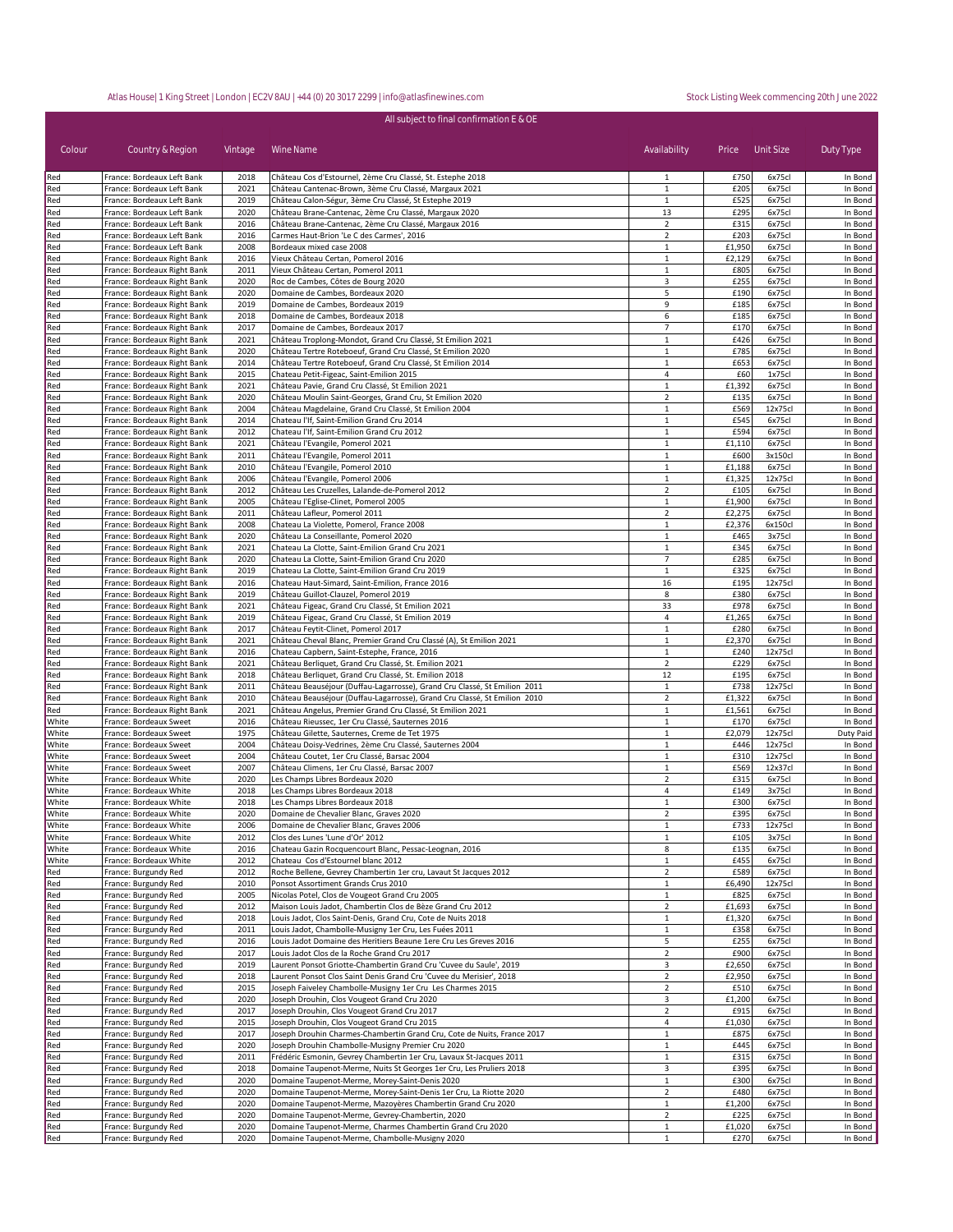| Colour         | Country & Region                                           | Vintage      | All subject to final confirmation E & OE<br>Wine Name                                                                  | Availability                   | Price Unit Size  |                   | Duty Type          |
|----------------|------------------------------------------------------------|--------------|------------------------------------------------------------------------------------------------------------------------|--------------------------------|------------------|-------------------|--------------------|
|                |                                                            | 2018         |                                                                                                                        | 1                              |                  | 6x75cl            |                    |
| Red<br>Red     | France: Bordeaux Left Bank<br>France: Bordeaux Left Bank   | 2021         | Château Cos d'Estournel, 2ème Cru Classé, St. Estephe 2018<br>Château Cantenac-Brown, 3ème Cru Classé, Margaux 2021    | $\mathbf{1}$                   | £750<br>£205     | 6x75cl            | In Bond<br>In Bond |
| Red            | France: Bordeaux Left Bank                                 | 2019         | Château Calon-Ségur, 3ème Cru Classé, St Estephe 2019                                                                  | 1                              | £525             | 6x75cl            | In Bond            |
| Red            | France: Bordeaux Left Bank                                 | 2020         | Château Brane-Cantenac, 2ème Cru Classé, Margaux 2020                                                                  | 13                             | £295             | 6x75cl            | In Bond            |
| Red            | France: Bordeaux Left Bank                                 | 2016         | Château Brane-Cantenac, 2ème Cru Classé, Margaux 2016                                                                  | $\overline{2}$                 | £315             | 6x75cl            | In Bond            |
| Red<br>Red     | France: Bordeaux Left Bank<br>France: Bordeaux Left Bank   | 2016<br>2008 | Carmes Haut-Brion 'Le C des Carmes', 2016<br>Bordeaux mixed case 2008                                                  | $\overline{2}$<br>1            | £203<br>£1,950   | 6x75cl<br>6x75cl  | In Bond<br>In Bond |
| Red            | France: Bordeaux Right Bank                                | 2016         | Vieux Château Certan, Pomerol 2016                                                                                     | 1                              | £2,129           | 6x75cl            | In Bond            |
| Red            | France: Bordeaux Right Bank                                | 2011         | Vieux Château Certan, Pomerol 2011                                                                                     | 1                              | £805             | 6x75cl            | In Bond            |
| Red            | France: Bordeaux Right Bank                                | 2020         | Roc de Cambes, Côtes de Bourg 2020                                                                                     | 3                              | £255             | 6x75cl            | In Bond            |
| Red            | France: Bordeaux Right Bank                                | 2020         | Domaine de Cambes, Bordeaux 2020                                                                                       | 5                              | £190             | 6x75cl            | In Bond            |
| Red<br>Red     | France: Bordeaux Right Bank<br>France: Bordeaux Right Bank | 2019<br>2018 | Domaine de Cambes, Bordeaux 2019<br>Domaine de Cambes, Bordeaux 2018                                                   | $\overline{9}$<br>6            | £185<br>£185     | 6x75cl<br>6x75cl  | In Bond<br>In Bond |
| Red            | France: Bordeaux Right Bank                                | 2017         | Domaine de Cambes, Bordeaux 2017                                                                                       | $\overline{7}$                 | £170             | 6x75cl            | In Bond            |
| Red            | France: Bordeaux Right Bank                                | 2021         | Château Troplong-Mondot, Grand Cru Classé, St Emilion 2021                                                             | $\mathbf{1}$                   | £426             | 6x75cl            | In Bond            |
| Red            | France: Bordeaux Right Bank                                | 2020         | Château Tertre Roteboeuf, Grand Cru Classé, St Emilion 2020                                                            | $\mathbf{1}$                   | £785             | 6x75cl            | In Bond            |
| Red            | France: Bordeaux Right Bank                                | 2014         | Château Tertre Roteboeuf, Grand Cru Classé, St Emilion 2014                                                            | $\mathbf{1}$                   | £653             | 6x75cl            | In Bond            |
| Red<br>Red     | France: Bordeaux Right Bank<br>France: Bordeaux Right Bank | 2015<br>2021 | Chateau Petit-Figeac, Saint-Emilion 2015<br>Château Pavie, Grand Cru Classé, St Emilion 2021                           | 4<br>$\mathbf{1}$              | £60<br>£1,392    | 1x75cl<br>6x75cl  | In Bond<br>In Bond |
| Red            | France: Bordeaux Right Bank                                | 2020         | Château Moulin Saint-Georges, Grand Cru, St Emilion 2020                                                               | $\overline{2}$                 | £135             | 6x75cl            | In Bond            |
| Red            | France: Bordeaux Right Bank                                | 2004         | Château Magdelaine, Grand Cru Classé, St Emilion 2004                                                                  | $\mathbf{1}$                   | £569             | 12x75cl           | In Bond            |
| Red            | France: Bordeaux Right Bank                                | 2014         | Chateau l'If, Saint-Emilion Grand Cru 2014                                                                             | 1                              | £545             | 6x75cl            | In Bond            |
| Red            | France: Bordeaux Right Bank                                | 2012         | Chateau l'If, Saint-Emilion Grand Cru 2012                                                                             | 1                              | £594             | 6x75cl            | In Bond            |
| Red<br>Red     | France: Bordeaux Right Bank<br>France: Bordeaux Right Bank | 2021<br>2011 | Château l'Evangile, Pomerol 2021<br>Château l'Evangile, Pomerol 2011                                                   | 1<br>1                         | £1,110<br>£600   | 6x75cl<br>3x150cl | In Bond<br>In Bond |
| Red            | France: Bordeaux Right Bank                                | 2010         | Château l'Evangile, Pomerol 2010                                                                                       | $\mathbf{1}$                   | £1,188           | 6x75cl            | In Bond            |
| Red            | France: Bordeaux Right Bank                                | 2006         | Château l'Evangile, Pomerol 2006                                                                                       | 1                              | £1,325           | 12x75cl           | In Bond            |
| Red            | France: Bordeaux Right Bank                                | 2012         | Château Les Cruzelles, Lalande-de-Pomerol 2012                                                                         | $\overline{2}$                 | £105             | 6x75cl            | In Bond            |
| Red            | France: Bordeaux Right Bank                                | 2005         | Château l'Eglise-Clinet, Pomerol 2005                                                                                  | $\mathbf{1}$                   | £1,900           | 6x75cl            | In Bond            |
| Red<br>Red     | France: Bordeaux Right Bank<br>France: Bordeaux Right Bank | 2011<br>2008 | Château Lafleur, Pomerol 2011<br>Chateau La Violette, Pomerol, France 2008                                             | $\overline{2}$<br>1            | £2,275<br>£2,376 | 6x75cl<br>6x150cl | In Bond<br>In Bond |
| Red            | France: Bordeaux Right Bank                                | 2020         | Château La Conseillante, Pomerol 2020                                                                                  | 1                              | £465             | 3x75cl            | In Bond            |
| Red            | France: Bordeaux Right Bank                                | 2021         | Chateau La Clotte, Saint-Emilion Grand Cru 2021                                                                        | 1                              | £345             | 6x75cl            | In Bond            |
| Red            | France: Bordeaux Right Bank                                | 2020         | Chateau La Clotte, Saint-Emilion Grand Cru 2020                                                                        | $\overline{7}$                 | £285             | 6x75cl            | In Bond            |
| Red            | France: Bordeaux Right Bank                                | 2019         | Chateau La Clotte, Saint-Emilion Grand Cru 2019                                                                        | 1                              | £325             | 6x75cl            | In Bond            |
| Red<br>Red     | France: Bordeaux Right Bank<br>France: Bordeaux Right Bank | 2016<br>2019 | Chateau Haut-Simard, Saint-Emilion, France 2016<br>Château Guillot-Clauzel, Pomerol 2019                               | 16<br>8                        | £195<br>£380     | 12x75cl<br>6x75cl | In Bond<br>In Bond |
| Red            | France: Bordeaux Right Bank                                | 2021         | Château Figeac, Grand Cru Classé, St Emilion 2021                                                                      | 33                             | £978             | 6x75cl            | In Bond            |
| Red            | France: Bordeaux Right Bank                                | 2019         | Château Figeac, Grand Cru Classé, St Emilion 2019                                                                      | 4                              | £1,265           | 6x75cl            | In Bond            |
| Red            | France: Bordeaux Right Bank                                | 2017         | Château Feytit-Clinet, Pomerol 2017                                                                                    | $\mathbf{1}$                   | £280             | 6x75cl            | In Bond            |
| Red            | France: Bordeaux Right Bank                                | 2021         | Château Cheval Blanc, Premier Grand Cru Classé (A), St Emilion 2021                                                    | $\mathbf{1}$                   | £2,370<br>£240   | 6x75cl            | In Bond            |
| Red<br>Red     | France: Bordeaux Right Bank<br>France: Bordeaux Right Bank | 2016<br>2021 | Chateau Capbern, Saint-Estephe, France, 2016<br>Château Berliquet, Grand Cru Classé, St. Emilion 2021                  | $\mathbf{1}$<br>$\overline{2}$ | £229             | 12x75cl<br>6x75cl | In Bond<br>In Bond |
| Red            | France: Bordeaux Right Bank                                | 2018         | Château Berliquet, Grand Cru Classé, St. Emilion 2018                                                                  | 12                             | £195             | 6x75cl            | In Bond            |
| Red            | France: Bordeaux Right Bank                                | 2011         | Château Beauséjour (Duffau-Lagarrosse), Grand Cru Classé, St Emilion 2011                                              | $\mathbf{1}$                   | £738             | 12x75cl           | In Bond            |
| Red            | France: Bordeaux Right Bank                                | 2010         | Château Beauséjour (Duffau-Lagarrosse), Grand Cru Classé, St Emilion 2010                                              | $\overline{2}$                 | £1,322           | 6x75cl            | In Bond            |
| Red<br>White   | France: Bordeaux Right Bank<br>France: Bordeaux Sweet      | 2021<br>2016 | Château Angelus, Premier Grand Cru Classé, St Emilion 2021<br>Château Rieussec, 1er Cru Classé, Sauternes 2016         | 1<br>1                         | £1,561<br>£170   | 6x75cl<br>6x75cl  | In Bond<br>In Bond |
| White          | France: Bordeaux Sweet                                     | 1975         | Château Gilette, Sauternes, Creme de Tet 1975                                                                          | 1                              | £2,079           | 12x75cl           | Duty Paid          |
| White          | France: Bordeaux Sweet                                     | 2004         | Château Doisy-Vedrines, 2ème Cru Classé, Sauternes 2004                                                                | 1                              | £446             | 12x75cl           | In Bond            |
| White          | France: Bordeaux Sweet                                     | 2004         | Château Coutet, 1er Cru Classé, Barsac 2004                                                                            | $\mathbf{1}$                   | £310             | 12x75cl           | In Bond            |
| White          | France: Bordeaux Sweet                                     | 2007         | Château Climens, 1er Cru Classé, Barsac 2007                                                                           | 1                              | £569             | 12x37cl           | In Bond            |
| White<br>White | France: Bordeaux White<br>France: Bordeaux White           | 2020<br>2018 | Les Champs Libres Bordeaux 2020<br>Les Champs Libres Bordeaux 2018                                                     | $\overline{2}$<br>4            | £315<br>£149     | 6x75cl<br>3x75cl  | In Bond<br>In Bond |
| White          | France: Bordeaux White                                     | 2018         | Les Champs Libres Bordeaux 2018                                                                                        | $\mathbf{1}$                   | £300             | 6x75cl            | In Bond            |
| White          | France: Bordeaux White                                     | 2020         | Domaine de Chevalier Blanc, Graves 2020                                                                                |                                | £395             | 6x75cl            | In Bond            |
| White          | France: Bordeaux White                                     | 2006         | Domaine de Chevalier Blanc, Graves 2006                                                                                | 1                              | £733             | 12x75cl           | In Bond            |
| White          | France: Bordeaux White                                     | 2012         | Clos des Lunes 'Lune d'Or' 2012                                                                                        | 1                              | £105             | 3x75cl            | In Bond            |
| White<br>White | France: Bordeaux White<br>France: Bordeaux White           | 2016<br>2012 | Chateau Gazin Rocquencourt Blanc, Pessac-Leognan, 2016<br>Chateau Cos d'Estournel blanc 2012                           | 8<br>1                         | £135<br>£455     | 6x75cl<br>6x75cl  | In Bond<br>In Bond |
| Red            | France: Burgundy Red                                       | 2012         | Roche Bellene, Gevrey Chambertin 1er cru, Lavaut St Jacques 2012                                                       | $\overline{2}$                 | £589             | 6x75cl            | In Bond            |
| Red            | France: Burgundy Red                                       | 2010         | Ponsot Assortiment Grands Crus 2010                                                                                    | $1\,$                          | £6,490           | 12x75cl           | In Bond            |
| Red            | France: Burgundy Red                                       | 2005         | Nicolas Potel, Clos de Vougeot Grand Cru 2005                                                                          | $\mathbf{1}$                   | £825             | 6x75cl            | In Bond            |
| Red            | France: Burgundy Red                                       | 2012         | Maison Louis Jadot, Chambertin Clos de Bèze Grand Cru 2012                                                             | $\overline{2}$                 | £1,693           | 6x75cl            | In Bond            |
| Red<br>Red     | France: Burgundy Red<br>France: Burgundy Red               | 2018<br>2011 | Louis Jadot, Clos Saint-Denis, Grand Cru, Cote de Nuits 2018<br>Louis Jadot, Chambolle-Musigny 1er Cru, Les Fuées 2011 | $\mathbf{1}$<br>$\mathbf{1}$   | £1,320<br>£358   | 6x75cl<br>6x75cl  | In Bond<br>In Bond |
| Red            | France: Burgundy Red                                       | 2016         | Louis Jadot Domaine des Heritiers Beaune 1ere Cru Les Greves 2016                                                      | 5                              | £255             | 6x75cl            | In Bond            |
| Red            | France: Burgundy Red                                       | 2017         | Louis Jadot Clos de la Roche Grand Cru 2017                                                                            | $\overline{2}$                 | £900             | 6x75cl            | In Bond            |
| Red            | France: Burgundy Red                                       | 2019         | Laurent Ponsot Griotte-Chambertin Grand Cru 'Cuvee du Saule', 2019                                                     | 3                              | £2,650           | 6x75cl            | In Bond            |
| Red            | France: Burgundy Red                                       | 2018         | Laurent Ponsot Clos Saint Denis Grand Cru 'Cuvee du Merisier', 2018                                                    | $\overline{2}$                 | £2,950           | 6x75cl            | In Bond            |
| Red            | France: Burgundy Red                                       | 2015         | Joseph Faiveley Chambolle-Musigny 1er Cru Les Charmes 2015                                                             | $\overline{2}$                 | £510             | 6x75cl            | In Bond            |
| Red<br>Red     | France: Burgundy Red<br>France: Burgundy Red               | 2020<br>2017 | Joseph Drouhin, Clos Vougeot Grand Cru 2020<br>Joseph Drouhin, Clos Vougeot Grand Cru 2017                             | 3<br>$\overline{2}$            | £1,200<br>£915   | 6x75cl<br>6x75cl  | In Bond<br>In Bond |
| Red            | France: Burgundy Red                                       | 2015         | Joseph Drouhin, Clos Vougeot Grand Cru 2015                                                                            | 4                              | £1,030           | 6x75cl            | In Bond            |
| Red            | France: Burgundy Red                                       | 2017         | Joseph Drouhin Charmes-Chambertin Grand Cru, Cote de Nuits, France 2017                                                | $\mathbf{1}$                   | £875             | 6x75cl            | In Bond            |
| Red            | France: Burgundy Red                                       | 2020         | Joseph Drouhin Chambolle-Musigny Premier Cru 2020                                                                      | 1                              | £445             | 6x75cl            | In Bond            |
| Red            | France: Burgundy Red                                       | 2011         | Frédéric Esmonin, Gevrey Chambertin 1er Cru, Lavaux St-Jacques 2011                                                    | $\mathbf{1}$                   | £315             | 6x75cl            | In Bond            |
| Red<br>Red     | France: Burgundy Red<br>France: Burgundy Red               | 2018<br>2020 | Domaine Taupenot-Merme, Nuits St Georges 1er Cru, Les Pruliers 2018<br>Domaine Taupenot-Merme, Morey-Saint-Denis 2020  | 3<br>$\mathbf{1}$              | £395<br>£300     | 6x75cl<br>6x75cl  | In Bond<br>In Bond |
| Red            | France: Burgundy Red                                       | 2020         | Domaine Taupenot-Merme, Morey-Saint-Denis 1er Cru, La Riotte 2020                                                      | $\overline{2}$                 | £480             | 6x75cl            | In Bond            |
| Red            | France: Burgundy Red                                       | 2020         | Domaine Taupenot-Merme, Mazoyères Chambertin Grand Cru 2020                                                            | $\mathbf{1}$                   | £1,200           | 6x75cl            | In Bond            |
| Red            | France: Burgundy Red                                       | 2020         | Domaine Taupenot-Merme, Gevrey-Chambertin, 2020                                                                        | $\overline{2}$                 | £225             | 6x75cl            | In Bond            |
| Red            | France: Burgundy Red                                       | 2020         | Domaine Taupenot-Merme, Charmes Chambertin Grand Cru 2020                                                              | $\mathbf{1}$                   | £1,020           | 6x75cl            | In Bond            |

n and the sense of the communication of the communication of the communication of the communication of the communication of the communication of the communication of the communication of the communication of the communica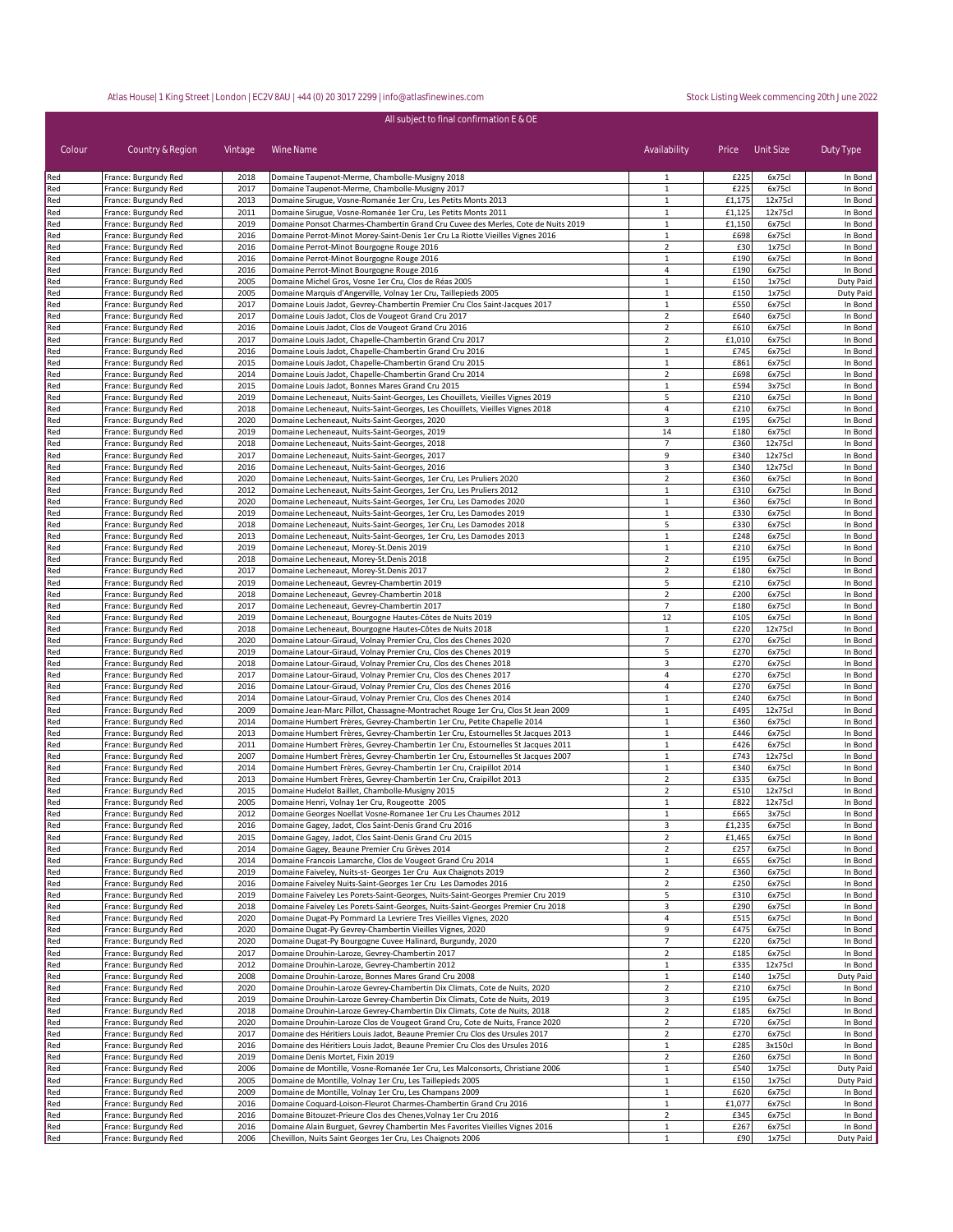| Colour     | Country & Region                             | Vintage      | All subject to final confirmation E & OE<br>Wine Name                                                                                                     | Availability                     | Price Unit Size |                   | Duty Type              |
|------------|----------------------------------------------|--------------|-----------------------------------------------------------------------------------------------------------------------------------------------------------|----------------------------------|-----------------|-------------------|------------------------|
|            |                                              |              |                                                                                                                                                           |                                  |                 |                   |                        |
| Red<br>Red | France: Burgundy Red<br>France: Burgundy Red | 2018<br>2017 | Domaine Taupenot-Merme, Chambolle-Musigny 2018<br>Domaine Taupenot-Merme, Chambolle-Musigny 2017                                                          | $\mathbf{1}$<br>$\mathbf{1}$     | £225<br>£225    | 6x75cl<br>6x75cl  | In Bond<br>In Bond     |
| Red        | France: Burgundy Red                         | 2013         | Domaine Sirugue, Vosne-Romanée 1er Cru, Les Petits Monts 2013                                                                                             | 1                                | £1,175          | 12x75cl           | In Bond                |
| Red        | France: Burgundy Red                         | 2011         | Domaine Sirugue, Vosne-Romanée 1er Cru, Les Petits Monts 2011                                                                                             | $\mathbf{1}$                     | £1,125          | 12x75cl           | In Bond                |
| Red        | France: Burgundy Red                         | 2019         | Domaine Ponsot Charmes-Chambertin Grand Cru Cuvee des Merles, Cote de Nuits 2019                                                                          | 1                                | £1,150          | 6x75cl            | In Bond                |
| Red        | France: Burgundy Red                         | 2016         | Domaine Perrot-Minot Morey-Saint-Denis 1er Cru La Riotte Vieilles Vignes 2016                                                                             | 1                                | £698            | 6x75cl            | In Bond                |
| Red        | France: Burgundy Red                         | 2016         | Domaine Perrot-Minot Bourgogne Rouge 2016                                                                                                                 | $\overline{2}$                   | £30             | 1x75cl            | In Bond                |
| Red        | France: Burgundy Red                         | 2016         | Domaine Perrot-Minot Bourgogne Rouge 2016                                                                                                                 | $1\,$                            | £190            | 6x75cl            | In Bond                |
| Red        | France: Burgundy Red                         | 2016         | Domaine Perrot-Minot Bourgogne Rouge 2016                                                                                                                 | 4                                | £190            | 6x75cl            | In Bond                |
| Red<br>Red | France: Burgundy Red<br>France: Burgundy Red | 2005<br>2005 | Domaine Michel Gros, Vosne 1er Cru, Clos de Réas 2005<br>Domaine Marquis d'Angerville, Volnay 1er Cru, Taillepieds 2005                                   | $1\,$<br>1                       | £150<br>£150    | 1x75cl<br>1x75cl  | Duty Paid<br>Duty Paid |
| Red        | France: Burgundy Red                         | 2017         | Domaine Louis Jadot, Gevrey-Chambertin Premier Cru Clos Saint-Jacques 2017                                                                                | $\mathbf 1$                      | £550            | 6x75cl            | In Bond                |
| Red        | France: Burgundy Red                         | 2017         | Domaine Louis Jadot, Clos de Vougeot Grand Cru 2017                                                                                                       | $\overline{2}$                   | £640            | 6x75cl            | In Bond                |
| Red        | France: Burgundy Red                         | 2016         | Domaine Louis Jadot, Clos de Vougeot Grand Cru 2016                                                                                                       | $\overline{2}$                   | £610            | 6x75cl            | In Bond                |
| Red        | France: Burgundy Red                         | 2017         | Domaine Louis Jadot, Chapelle-Chambertin Grand Cru 2017                                                                                                   | $\overline{2}$                   | £1,010          | 6x75cl            | In Bond                |
| Red        | France: Burgundy Red                         | 2016         | Domaine Louis Jadot, Chapelle-Chambertin Grand Cru 2016                                                                                                   | $\mathbf{1}$                     | £745            | 6x75cl            | In Bond                |
| Red        | France: Burgundy Red                         | 2015         | Domaine Louis Jadot, Chapelle-Chambertin Grand Cru 2015                                                                                                   | $\mathbf{1}$                     | £861            | 6x75cl            | In Bond                |
| Red        | France: Burgundy Red                         | 2014         | Domaine Louis Jadot, Chapelle-Chambertin Grand Cru 2014                                                                                                   | $\overline{2}$                   | £698            | 6x75cl            | In Bond                |
| Red<br>Red | France: Burgundy Red<br>France: Burgundy Red | 2015<br>2019 | Domaine Louis Jadot, Bonnes Mares Grand Cru 2015<br>Domaine Lecheneaut, Nuits-Saint-Georges, Les Chouillets, Vieilles Vignes 2019                         | $\mathbf{1}$<br>5                | £594<br>£210    | 3x75cl<br>6x75cl  | In Bond<br>In Bond     |
| Red        | France: Burgundy Red                         | 2018         | Domaine Lecheneaut, Nuits-Saint-Georges, Les Chouillets, Vieilles Vignes 2018                                                                             | 4                                | £210            | 6x75cl            | In Bond                |
| Red        | France: Burgundy Red                         | 2020         | Domaine Lecheneaut, Nuits-Saint-Georges, 2020                                                                                                             | 3                                | £195            | 6x75cl            | In Bond                |
| Red        | France: Burgundy Red                         | 2019         | Domaine Lecheneaut, Nuits-Saint-Georges, 2019                                                                                                             | 14                               | £180            | 6x75cl            | In Bond                |
| Red        | France: Burgundy Red                         | 2018         | Domaine Lecheneaut, Nuits-Saint-Georges, 2018                                                                                                             | $\overline{7}$                   | £360            | 12x75cl           | In Bond                |
| Red        | France: Burgundy Red                         | 2017         | Domaine Lecheneaut, Nuits-Saint-Georges, 2017                                                                                                             | $\overline{9}$                   | £340            | 12x75cl           | In Bond                |
| Red        | France: Burgundy Red                         | 2016         | Domaine Lecheneaut, Nuits-Saint-Georges, 2016                                                                                                             | 3                                | £340            | 12x75cl           | In Bond                |
| Red        | France: Burgundy Red                         | 2020         | Domaine Lecheneaut, Nuits-Saint-Georges, 1er Cru, Les Pruliers 2020                                                                                       | $\overline{2}$                   | £360            | 6x75cl            | In Bond                |
| Red<br>Red | France: Burgundy Red<br>France: Burgundy Red | 2012<br>2020 | Domaine Lecheneaut, Nuits-Saint-Georges, 1er Cru, Les Pruliers 2012<br>Domaine Lecheneaut, Nuits-Saint-Georges, 1er Cru, Les Damodes 2020                 | 1<br>$\mathbf{1}$                | £310<br>£360    | 6x75cl<br>6x75cl  | In Bond<br>In Bond     |
| Red        | France: Burgundy Red                         | 2019         | Domaine Lecheneaut, Nuits-Saint-Georges, 1er Cru, Les Damodes 2019                                                                                        | $\mathbf{1}$                     | £330            | 6x75cl            | In Bond                |
| Red        | France: Burgundy Red                         | 2018         | Domaine Lecheneaut, Nuits-Saint-Georges, 1er Cru, Les Damodes 2018                                                                                        | 5                                | £330            | 6x75cl            | In Bond                |
| Red        | France: Burgundy Red                         | 2013         | Domaine Lecheneaut, Nuits-Saint-Georges, 1er Cru, Les Damodes 2013                                                                                        | 1                                | £248            | 6x75cl            | In Bond                |
| Red        | France: Burgundy Red                         | 2019         | Domaine Lecheneaut, Morey-St.Denis 2019                                                                                                                   | 1                                | £210            | 6x75cl            | In Bond                |
| Red        | France: Burgundy Red                         | 2018         | Domaine Lecheneaut, Morey-St.Denis 2018                                                                                                                   | $\overline{2}$                   | £195            | 6x75cl            | In Bond                |
| Red        | France: Burgundy Red                         | 2017         | Domaine Lecheneaut, Morey-St.Denis 2017                                                                                                                   | $\overline{2}$                   | £180            | 6x75cl            | In Bond                |
| Red        | France: Burgundy Red                         | 2019         | Domaine Lecheneaut, Gevrey-Chambertin 2019                                                                                                                | 5                                | £210            | 6x75cl            | In Bond                |
| Red<br>Red | France: Burgundy Red<br>France: Burgundy Red | 2018<br>2017 | Domaine Lecheneaut, Gevrey-Chambertin 2018<br>Domaine Lecheneaut, Gevrey-Chambertin 2017                                                                  | $\overline{2}$<br>$\overline{7}$ | £200<br>£180    | 6x75cl<br>6x75cl  | In Bond<br>In Bond     |
| Red        | France: Burgundy Red                         | 2019         | Domaine Lecheneaut, Bourgogne Hautes-Côtes de Nuits 2019                                                                                                  | 12                               | £105            | 6x75cl            | In Bond                |
| Red        | France: Burgundy Red                         | 2018         | Domaine Lecheneaut, Bourgogne Hautes-Côtes de Nuits 2018                                                                                                  | $\mathbf{1}$                     | £220            | 12x75cl           | In Bond                |
| Red        | France: Burgundy Red                         | 2020         | Domaine Latour-Giraud, Volnay Premier Cru, Clos des Chenes 2020                                                                                           | $\overline{7}$                   | £270            | 6x75cl            | In Bond                |
| Red        | France: Burgundy Red                         | 2019         | Domaine Latour-Giraud, Volnay Premier Cru, Clos des Chenes 2019                                                                                           | 5                                | £270            | 6x75cl            | In Bond                |
| Red        | France: Burgundy Red                         | 2018         | Domaine Latour-Giraud, Volnay Premier Cru, Clos des Chenes 2018                                                                                           | 3                                | £270            | 6x75cl            | In Bond                |
| Red        | France: Burgundy Red                         | 2017         | Domaine Latour-Giraud, Volnay Premier Cru, Clos des Chenes 2017                                                                                           | 4                                | £270            | 6x75cl            | In Bond                |
| Red        | France: Burgundy Red                         | 2016<br>2014 | Domaine Latour-Giraud, Volnay Premier Cru, Clos des Chenes 2016                                                                                           | 4<br>$\mathbf{1}$                | £270<br>£240    | 6x75cl            | In Bond                |
| Red<br>Red | France: Burgundy Red<br>France: Burgundy Red | 2009         | Domaine Latour-Giraud, Volnay Premier Cru, Clos des Chenes 2014<br>Domaine Jean-Marc Pillot, Chassagne-Montrachet Rouge 1er Cru, Clos St Jean 2009        | $\mathbf{1}$                     | £495            | 6x75cl<br>12x75cl | In Bond<br>In Bond     |
| Red        | France: Burgundy Red                         | 2014         | Domaine Humbert Frères, Gevrey-Chambertin 1er Cru, Petite Chapelle 2014                                                                                   | $\mathbf{1}$                     | £360            | 6x75cl            | In Bond                |
| Red        | France: Burgundy Red                         | 2013         | Domaine Humbert Frères, Gevrey-Chambertin 1er Cru, Estournelles St Jacques 2013                                                                           | $\mathbf{1}$                     | £446            | 6x75cl            | In Bond                |
| Red        | France: Burgundy Red                         | 2011         | Domaine Humbert Frères, Gevrey-Chambertin 1er Cru, Estournelles St Jacques 2011                                                                           | $\mathbf{1}$                     | £426            | 6x75cl            | In Bond                |
| Red        | France: Burgundy Red                         | 2007         | Domaine Humbert Frères, Gevrey-Chambertin 1er Cru, Estournelles St Jacques 2007                                                                           | $\mathbf{1}$                     | £743            | 12x75cl           | In Bond                |
| Red        | France: Burgundy Red                         | 2014         | Domaine Humbert Frères, Gevrey-Chambertin 1er Cru, Craipillot 2014                                                                                        | $\mathbf{1}$                     | £340            | 6x75cl            | In Bond                |
| Red        | France: Burgundy Red                         | 2013         | Domaine Humbert Frères, Gevrey-Chambertin 1er Cru, Craipillot 2013                                                                                        | $\overline{2}$                   | £335            | 6x75cl            | In Bond                |
| Red        | France: Burgundy Red                         | 2015<br>2005 | Domaine Hudelot Baillet, Chambolle-Musigny 2015<br>Domaine Henri, Volnay 1er Cru, Rougeotte 2005                                                          | $\overline{2}$                   | £510<br>£822    | 12x75cl           | In Bond                |
| Red<br>Red | France: Burgundy Red<br>France: Burgundy Red | 2012         | Domaine Georges Noellat Vosne-Romanee 1er Cru Les Chaumes 2012                                                                                            | $\mathbf{1}$                     | £665            | 12x75cl<br>3x75cl | In Bond<br>In Bond     |
| Red        | France: Burgundy Red                         | 2016         | Domaine Gagey, Jadot, Clos Saint-Denis Grand Cru 2016                                                                                                     | 3                                | £1,235          | 6x75cl            | In Bond                |
| Red        | France: Burgundy Red                         | 2015         | Domaine Gagey, Jadot, Clos Saint-Denis Grand Cru 2015                                                                                                     | $\overline{2}$                   | £1,465          | 6x75cl            | In Bond                |
| Red        | France: Burgundy Red                         | 2014         | Domaine Gagey, Beaune Premier Cru Grèves 2014                                                                                                             | $\overline{2}$                   | £257            | 6x75cl            | In Bond                |
| Red        | France: Burgundy Red                         | 2014         | Domaine Francois Lamarche, Clos de Vougeot Grand Cru 2014                                                                                                 | 1                                | £655            | 6x75cl            | In Bond                |
| Red        | France: Burgundy Red                         | 2019         | Domaine Faiveley, Nuits-st- Georges 1er Cru Aux Chaignots 2019                                                                                            | $\overline{2}$                   | £360            | 6x75cl            | In Bond                |
| Red        | France: Burgundy Red                         | 2016         | Domaine Faiveley Nuits-Saint-Georges 1er Cru Les Damodes 2016                                                                                             | $\mathbf 2$                      | £250            | 6x75cl            | In Bond                |
| Red        | France: Burgundy Red                         | 2019         | Domaine Faiveley Les Porets-Saint-Georges, Nuits-Saint-Georges Premier Cru 2019                                                                           | 5                                | £310<br>£290    | 6x75cl<br>6x75cl  | In Bond                |
| Red<br>Red | France: Burgundy Red<br>France: Burgundy Red | 2018<br>2020 | Domaine Faiveley Les Porets-Saint-Georges, Nuits-Saint-Georges Premier Cru 2018<br>Domaine Dugat-Py Pommard La Levriere Tres Vieilles Vignes, 2020        | 3<br>4                           | £515            | 6x75cl            | In Bond<br>In Bond     |
| Red        | France: Burgundy Red                         | 2020         | Domaine Dugat-Py Gevrey-Chambertin Vieilles Vignes, 2020                                                                                                  | $\overline{9}$                   | £475            | 6x75cl            | In Bond                |
| Red        | France: Burgundy Red                         | 2020         | Domaine Dugat-Py Bourgogne Cuvee Halinard, Burgundy, 2020                                                                                                 | $\overline{7}$                   | £220            | 6x75cl            | In Bond                |
| Red        | France: Burgundy Red                         | 2017         | Domaine Drouhin-Laroze, Gevrey-Chambertin 2017                                                                                                            | $\overline{2}$                   | £185            | 6x75cl            | In Bond                |
| Red        | France: Burgundy Red                         | 2012         | Domaine Drouhin-Laroze, Gevrey-Chambertin 2012                                                                                                            | $\mathbf{1}$                     | £335            | 12x75cl           | In Bond                |
| Red        | France: Burgundy Red                         | 2008         | Domaine Drouhin-Laroze, Bonnes Mares Grand Cru 2008                                                                                                       | $\mathbf{1}$                     | £140            | 1x75cl            | Duty Paid              |
| Red        | France: Burgundy Red                         | 2020         | Domaine Drouhin-Laroze Gevrey-Chambertin Dix Climats, Cote de Nuits, 2020                                                                                 | $\overline{2}$                   | £210            | 6x75cl            | In Bond                |
| Red        | France: Burgundy Red<br>France: Burgundy Red | 2019<br>2018 | Domaine Drouhin-Laroze Gevrey-Chambertin Dix Climats, Cote de Nuits, 2019                                                                                 | 3<br>$\overline{2}$              | £195<br>£185    | 6x75cl<br>6x75cl  | In Bond                |
| Red<br>Red | France: Burgundy Red                         | 2020         | Domaine Drouhin-Laroze Gevrey-Chambertin Dix Climats, Cote de Nuits, 2018<br>Domaine Drouhin-Laroze Clos de Vougeot Grand Cru, Cote de Nuits, France 2020 | $\overline{2}$                   | £720            | 6x75cl            | In Bond<br>In Bond     |
| Red        | France: Burgundy Red                         | 2017         | Domaine des Héritiers Louis Jadot, Beaune Premier Cru Clos des Ursules 2017                                                                               | $\overline{2}$                   | £270            | 6x75cl            | In Bond                |
| Red        | France: Burgundy Red                         | 2016         | Domaine des Héritiers Louis Jadot, Beaune Premier Cru Clos des Ursules 2016                                                                               | 1                                | £285            | 3x150cl           | In Bond                |
| Red        | France: Burgundy Red                         | 2019         | Domaine Denis Mortet, Fixin 2019                                                                                                                          | $\overline{2}$                   | £260            | 6x75cl            | In Bond                |
| Red        | France: Burgundy Red                         | 2006         | Domaine de Montille, Vosne-Romanée 1er Cru, Les Malconsorts, Christiane 2006                                                                              | 1                                | £540            | 1x75cl            | Duty Paid              |
| Red        | France: Burgundy Red                         | 2005         | Domaine de Montille, Volnay 1er Cru, Les Taillepieds 2005                                                                                                 | $\mathbf{1}$                     | £150            | 1x75cl            | Duty Paid              |
| Red        | France: Burgundy Red                         | 2009         | Domaine de Montille, Volnay 1er Cru, Les Champans 2009                                                                                                    | $\mathbf{1}$                     | £620            | 6x75cl            | In Bond                |
| Red        | France: Burgundy Red                         | 2016         | Domaine Coquard-Loison-Fleurot Charmes-Chambertin Grand Cru 2016                                                                                          | $\mathbf{1}$                     | £1,077          | 6x75cl            | In Bond                |
| Red<br>Red | France: Burgundy Red<br>France: Burgundy Red | 2016<br>2016 | Domaine Bitouzet-Prieure Clos des Chenes, Volnay 1er Cru 2016<br>Domaine Alain Burguet, Gevrey Chambertin Mes Favorites Vieilles Vignes 2016              | $\overline{2}$<br>$\mathbf{1}$   | £345<br>£267    | 6x75cl<br>6x75cl  | In Bond<br>In Bond     |
| Red        | France: Burgundy Red                         | 2006         | Chevillon, Nuits Saint Georges 1er Cru, Les Chaignots 2006                                                                                                | $\mathbf{1}$                     | £90             | 1x75cl            | Duty Paid              |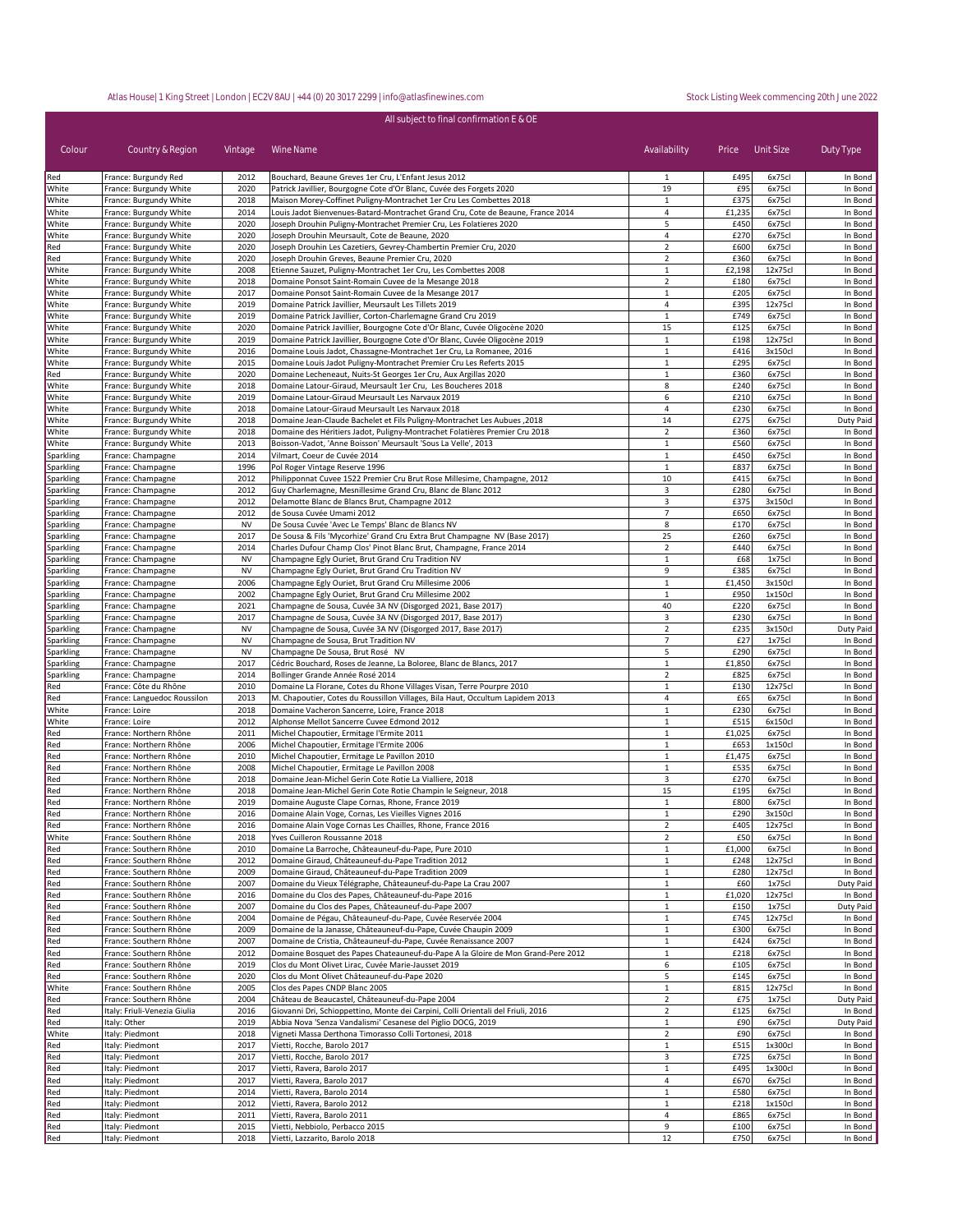| All subject to final confirmation E & OE |                                                  |              |                                                                                                                                                       |                                |                |                   |                      |  |
|------------------------------------------|--------------------------------------------------|--------------|-------------------------------------------------------------------------------------------------------------------------------------------------------|--------------------------------|----------------|-------------------|----------------------|--|
| Colour                                   | Country & Region                                 | Vintage      | Wine Name                                                                                                                                             | Availability                   |                | Price Unit Size   | Duty Type            |  |
| Red                                      | France: Burgundy Red                             | 2012         | Bouchard, Beaune Greves 1er Cru, L'Enfant Jesus 2012                                                                                                  | 1                              | £495           | 6x75cl            | In Bond              |  |
| White                                    | France: Burgundy White                           | 2020         | Patrick Javillier, Bourgogne Cote d'Or Blanc, Cuvée des Forgets 2020                                                                                  | 19                             | £95            | 6x75cl            | In Bond              |  |
| White                                    | France: Burgundy White                           | 2018         | Maison Morey-Coffinet Puligny-Montrachet 1er Cru Les Combettes 2018                                                                                   | 1                              | £375           | 6x75cl            | In Bond              |  |
| White<br>White                           | France: Burgundy White<br>France: Burgundy White | 2014<br>2020 | Louis Jadot Bienvenues-Batard-Montrachet Grand Cru, Cote de Beaune, France 2014<br>Joseph Drouhin Puligny-Montrachet Premier Cru, Les Folatieres 2020 | 4<br>5                         | £1,235<br>£450 | 6x75cl<br>6x75c   | In Bond<br>In Bond   |  |
| White                                    | France: Burgundy White                           | 2020         | Joseph Drouhin Meursault, Cote de Beaune, 2020                                                                                                        | 4                              | £270           | 6x75cl            | In Bond              |  |
| Red                                      | France: Burgundy White                           | 2020         | Joseph Drouhin Les Cazetiers, Gevrey-Chambertin Premier Cru, 2020                                                                                     | $\overline{2}$                 | £600           | 6x75c             | In Bond              |  |
| Red                                      | France: Burgundy White                           | 2020         | Joseph Drouhin Greves, Beaune Premier Cru, 2020                                                                                                       | $\overline{2}$                 | £360           | 6x75cl            | In Bond              |  |
| White                                    | France: Burgundy White                           | 2008         | Etienne Sauzet, Puligny-Montrachet 1er Cru, Les Combettes 2008                                                                                        | $1\,$                          | £2,198         | 12x75cl           | In Bond              |  |
| White                                    | France: Burgundy White                           | 2018         | Domaine Ponsot Saint-Romain Cuvee de la Mesange 2018                                                                                                  | $\overline{2}$                 | £180           | 6x75cl            | In Bond              |  |
| White                                    | France: Burgundy White                           | 2017         | Domaine Ponsot Saint-Romain Cuvee de la Mesange 2017                                                                                                  | $1\,$                          | £205           | 6x75cl            | In Bond              |  |
| White                                    | France: Burgundy White                           | 2019<br>2019 | Domaine Patrick Javillier, Meursault Les Tillets 2019                                                                                                 | 4                              | £395<br>£749   | 12x75cl           | In Bond              |  |
| White<br>White                           | France: Burgundy White<br>France: Burgundy White | 2020         | Domaine Patrick Javillier, Corton-Charlemagne Grand Cru 2019<br>Domaine Patrick Javillier, Bourgogne Cote d'Or Blanc, Cuvée Oligocène 2020            | $1\,$<br>15                    | £125           | 6x75cl<br>6x75cl  | In Bond<br>In Bond   |  |
| White                                    | France: Burgundy White                           | 2019         | Domaine Patrick Javillier, Bourgogne Cote d'Or Blanc, Cuvée Oligocène 2019                                                                            | $1\,$                          | £198           | 12x75cl           | In Bond              |  |
| White                                    | France: Burgundy White                           | 2016         | Domaine Louis Jadot, Chassagne-Montrachet 1er Cru, La Romanee, 2016                                                                                   | $1\,$                          | £416           | 3x150cl           | In Bond              |  |
| White                                    | France: Burgundy White                           | 2015         | Domaine Louis Jadot Puligny-Montrachet Premier Cru Les Referts 2015                                                                                   | $\,1\,$                        | £295           | 6x75cl            | In Bond              |  |
| Red                                      | France: Burgundy White                           | 2020         | Domaine Lecheneaut, Nuits-St Georges 1er Cru, Aux Argillas 2020                                                                                       | $\mathbf{1}$                   | £360           | 6x75cl            | In Bond              |  |
| White                                    | France: Burgundy White                           | 2018         | Domaine Latour-Giraud, Meursault 1er Cru, Les Boucheres 2018                                                                                          | 8                              | £240           | 6x75cl            | In Bond              |  |
| White                                    | France: Burgundy White                           | 2019<br>2018 | Domaine Latour-Giraud Meursault Les Narvaux 2019<br>Domaine Latour-Giraud Meursault Les Narvaux 2018                                                  | 6<br>$\overline{4}$            | £210<br>£230   | 6x75cl            | In Bond              |  |
| White<br>White                           | France: Burgundy White<br>France: Burgundy White | 2018         | Domaine Jean-Claude Bachelet et Fils Puligny-Montrachet Les Aubues, 2018                                                                              | 14                             | £275           | 6x75cl<br>6x75cl  | In Bond<br>Duty Paid |  |
| White                                    | France: Burgundy White                           | 2018         | Domaine des Héritiers Jadot, Puligny-Montrachet Folatières Premier Cru 2018                                                                           | $\overline{2}$                 | £360           | 6x75cl            | In Bond              |  |
| White                                    | France: Burgundy White                           | 2013         | Boisson-Vadot, 'Anne Boisson' Meursault 'Sous La Velle', 2013                                                                                         | $1\,$                          | £560           | 6x75cl            | In Bond              |  |
| Sparkling                                | France: Champagne                                | 2014         | Vilmart, Coeur de Cuvée 2014                                                                                                                          | $\mathbf{1}$                   | £450           | 6x75cl            | In Bond              |  |
| Sparkling                                | France: Champagne                                | 1996         | Pol Roger Vintage Reserve 1996                                                                                                                        | $\mathbf{1}$                   | £837           | 6x75cl            | In Bond              |  |
| Sparkling                                | France: Champagne                                | 2012         | Philipponnat Cuvee 1522 Premier Cru Brut Rose Millesime, Champagne, 2012                                                                              | 10                             | £415           | 6x75cl            | In Bond              |  |
| Sparkling                                | France: Champagne                                | 2012         | Guy Charlemagne, Mesnillesime Grand Cru, Blanc de Blanc 2012                                                                                          | 3                              | £280           | 6x75cl            | In Bond              |  |
| Sparkling<br>Sparkling                   | France: Champagne<br>France: Champagne           | 2012<br>2012 | Delamotte Blanc de Blancs Brut, Champagne 2012<br>de Sousa Cuvée Umami 2012                                                                           | 3<br>$\overline{7}$            | £375<br>£650   | 3x150cl<br>6x75cl | In Bond<br>In Bond   |  |
| Sparkling                                | France: Champagne                                | <b>NV</b>    | De Sousa Cuvée 'Avec Le Temps' Blanc de Blancs NV                                                                                                     | 8                              | £170           | 6x75cl            | In Bond              |  |
| Sparkling                                | France: Champagne                                | 2017         | De Sousa & Fils 'Mycorhize' Grand Cru Extra Brut Champagne NV (Base 2017)                                                                             | 25                             | £260           | 6x75c             | In Bond              |  |
| Sparkling                                | France: Champagne                                | 2014         | Charles Dufour Champ Clos' Pinot Blanc Brut, Champagne, France 2014                                                                                   | $\overline{2}$                 | £440           | 6x75cl            | In Bond              |  |
| Sparkling                                | France: Champagne                                | <b>NV</b>    | Champagne Egly Ouriet, Brut Grand Cru Tradition NV                                                                                                    | $1\,$                          | £68            | 1x75cl            | In Bond              |  |
| Sparkling                                | France: Champagne                                | <b>NV</b>    | Champagne Egly Ouriet, Brut Grand Cru Tradition NV                                                                                                    | 9                              | £385           | 6x75cl            | In Bond              |  |
| Sparkling                                | France: Champagne                                | 2006         | Champagne Egly Ouriet, Brut Grand Cru Millesime 2006                                                                                                  | $\,1\,$                        | £1,450         | 3x150cl           | In Bond              |  |
| <b>Sparkling</b>                         | France: Champagne                                | 2002         | Champagne Egly Ouriet, Brut Grand Cru Millesime 2002                                                                                                  | 1                              | £950<br>£220   | 1x150cl           | In Bond              |  |
| Sparkling<br>Sparkling                   | France: Champagne<br>France: Champagne           | 2021<br>2017 | Champagne de Sousa, Cuvée 3A NV (Disgorged 2021, Base 2017)<br>Champagne de Sousa, Cuvée 3A NV (Disgorged 2017, Base 2017)                            | 40<br>3                        | £230           | 6x75cl<br>6x75cl  | In Bond<br>In Bond   |  |
| Sparkling                                | France: Champagne                                | <b>NV</b>    | Champagne de Sousa, Cuvée 3A NV (Disgorged 2017, Base 2017)                                                                                           | $\overline{2}$                 | £235           | 3x150cl           | Duty Paid            |  |
| Sparkling                                | France: Champagne                                | <b>NV</b>    | Champagne de Sousa, Brut Tradition NV                                                                                                                 | $\overline{7}$                 | £27            | 1x75cl            | In Bond              |  |
| Sparkling                                | France: Champagne                                | <b>NV</b>    | Champagne De Sousa, Brut Rosé NV                                                                                                                      | 5                              | £290           | 6x75cl            | In Bond              |  |
| Sparkling                                | France: Champagne                                | 2017         | Cédric Bouchard, Roses de Jeanne, La Boloree, Blanc de Blancs, 2017                                                                                   | $1\,$                          | £1,850         | 6x75cl            | In Bond              |  |
| Sparkling                                | France: Champagne                                | 2014         | Bollinger Grande Année Rosé 2014                                                                                                                      | $\overline{2}$                 | £825           | 6x75cl            | In Bond              |  |
| Red                                      | France: Côte du Rhône                            | 2010<br>2013 | Domaine La Florane, Cotes du Rhone Villages Visan, Terre Pourpre 2010                                                                                 | $\mathbf{1}$<br>$\overline{4}$ | £130           | 12x75cl           | In Bond              |  |
| Red<br>White                             | France: Languedoc Roussilon<br>France: Loire     | 2018         | M. Chapoutier, Cotes du Roussillon Villages, Bila Haut, Occultum Lapidem 2013<br>Domaine Vacheron Sancerre, Loire, France 2018                        | $\mathbf{1}$                   | £65<br>£230    | 6x75cl<br>6x75cl  | In Bond<br>In Bond   |  |
| White                                    | France: Loire                                    | 2012         | Alphonse Mellot Sancerre Cuvee Edmond 2012                                                                                                            | $\mathbf{1}$                   | £515           | 6x150cl           | In Bond              |  |
| Red                                      | France: Northern Rhône                           | 2011         | Michel Chapoutier, Ermitage l'Ermite 2011                                                                                                             | $\mathbf{1}$                   | £1,025         | 6x75cl            | In Bond              |  |
| Red                                      | France: Northern Rhône                           | 2006         | Michel Chapoutier, Ermitage l'Ermite 2006                                                                                                             | $\mathbf{1}$                   | £653           | 1x150cl           | In Bond              |  |
| Red                                      | France: Northern Rhône                           | 2010         | Michel Chapoutier, Ermitage Le Pavillon 2010                                                                                                          | $\mathbf{1}$                   | £1,475         | 6x75cl            | In Bond              |  |
| Red                                      | France: Northern Rhône                           | 2008         | Michel Chapoutier, Ermitage Le Pavillon 2008                                                                                                          | $\mathbf{1}$                   | £535           | 6x75cl            | In Bond              |  |
| Red                                      | France: Northern Rhône                           | 2018         | Domaine Jean-Michel Gerin Cote Rotie La Vialliere, 2018                                                                                               | 3                              | £270           | 6x75c             | In Bond              |  |
| Red<br>Red                               | France: Northern Rhône<br>France: Northern Rhône | 2018<br>2019 | Domaine Jean-Michel Gerin Cote Rotie Champin le Seigneur, 2018                                                                                        | 15<br>$\mathbf{1}$             | £195<br>£800   | 6x75cl<br>6x75cl  | In Bond<br>In Bond   |  |
| Red                                      | France: Northern Rhône                           | 2016         | Domaine Auguste Clape Cornas, Rhone, France 2019<br>Domaine Alain Voge, Cornas, Les Vieilles Vignes 2016                                              | $\mathbf{1}$                   | £290           | 3x150cl           | In Bond              |  |
| Red                                      | France: Northern Rhône                           | 2016         | Domaine Alain Voge Cornas Les Chailles, Rhone, France 2016                                                                                            | $\mathbf 2$                    | £405           | 12x75cl           | In Bond              |  |
| White                                    | France: Southern Rhône                           | 2018         | Yves Cuilleron Roussanne 2018                                                                                                                         | $\overline{2}$                 | £50            | 6x75cl            | In Bond              |  |
| Red                                      | France: Southern Rhône                           | 2010         | Domaine La Barroche, Châteauneuf-du-Pape, Pure 2010                                                                                                   | $1\,$                          | £1,000         | 6x75cl            | In Bond              |  |
| Red                                      | France: Southern Rhône                           | 2012         | Domaine Giraud, Châteauneuf-du-Pape Tradition 2012                                                                                                    | $\mathbf{1}$                   | £248           | 12x75cl           | In Bond              |  |
| Red                                      | France: Southern Rhône                           | 2009         | Domaine Giraud, Châteauneuf-du-Pape Tradition 2009                                                                                                    | $1\,$                          | £280           | 12x75cl           | In Bond              |  |
| Red                                      | France: Southern Rhône                           | 2007         | Domaine du Vieux Télégraphe, Châteauneuf-du-Pape La Crau 2007                                                                                         | $1\,$                          | £60            | 1x75cl            | Duty Paid            |  |
| Red<br>Red                               | France: Southern Rhône<br>France: Southern Rhône | 2016<br>2007 | Domaine du Clos des Papes, Châteauneuf-du-Pape 2016<br>Domaine du Clos des Papes, Châteauneuf-du-Pape 2007                                            | $\mathbf{1}$<br>$\mathbf{1}$   | £1,020<br>£150 | 12x75cl<br>1x75cl | In Bond<br>Duty Paid |  |
| Red                                      | France: Southern Rhône                           | 2004         | Domaine de Pégau, Châteauneuf-du-Pape, Cuvée Reservée 2004                                                                                            | $1\,$                          | £745           | 12x75cl           | In Bond              |  |
| Red                                      | France: Southern Rhône                           | 2009         | Domaine de la Janasse, Châteauneuf-du-Pape, Cuvée Chaupin 2009                                                                                        | $\,1$                          | £300           | 6x75cl            | In Bond              |  |
| Red                                      | France: Southern Rhône                           | 2007         | Domaine de Cristia, Châteauneuf-du-Pape, Cuvée Renaissance 2007                                                                                       | $1\,$                          | £424           | 6x75cl            | In Bond              |  |
| Red                                      | France: Southern Rhône                           | 2012         | Domaine Bosquet des Papes Chateauneuf-du-Pape A la Gloire de Mon Grand-Pere 2012                                                                      | $1\,$                          | £218           | 6x75cl            | In Bond              |  |
| Red                                      | France: Southern Rhône                           | 2019         | Clos du Mont Olivet Lirac, Cuvée Marie-Jausset 2019                                                                                                   | 6                              | £105           | 6x75cl            | In Bond              |  |
| Red                                      | France: Southern Rhône                           | 2020         | Clos du Mont Olivet Châteauneuf-du-Pape 2020                                                                                                          | 5                              | £145           | 6x75cl            | In Bond              |  |
| White<br>Red                             | France: Southern Rhône<br>France: Southern Rhône | 2005<br>2004 | Clos des Papes CNDP Blanc 2005<br>Château de Beaucastel, Châteauneuf-du-Pape 2004                                                                     | $1\,$<br>$\overline{2}$        | £815<br>£75    | 12x75cl<br>1x75cl | In Bond<br>Duty Paid |  |
| Red                                      | Italy: Friuli-Venezia Giulia                     | 2016         | Giovanni Dri, Schioppettino, Monte dei Carpini, Colli Orientali del Friuli, 2016                                                                      | $\overline{2}$                 | £125           | 6x75cl            | In Bond              |  |
| Red                                      | Italy: Other                                     | 2019         | Abbia Nova 'Senza Vandalismi' Cesanese del Piglio DOCG, 2019                                                                                          | $\mathbf{1}$                   | £90            | 6x75cl            | Duty Paid            |  |
| White                                    | Italy: Piedmont                                  | 2018         | Vigneti Massa Derthona Timorasso Colli Tortonesi, 2018                                                                                                | $\overline{2}$                 | £90            | 6x75cl            | In Bond              |  |
| Red                                      | Italy: Piedmont                                  | 2017         | Vietti, Rocche, Barolo 2017                                                                                                                           | $\mathbf{1}$                   | £515           | 1x300cl           | In Bond              |  |
| Red                                      | Italy: Piedmont                                  | 2017         | Vietti, Rocche, Barolo 2017                                                                                                                           | 3                              | £725           | 6x75cl            | In Bond              |  |
| Red                                      | Italy: Piedmont                                  | 2017         | Vietti, Ravera, Barolo 2017                                                                                                                           | $1\,$                          | £495           | 1x300cl           | In Bond              |  |
| Red                                      | Italy: Piedmont                                  | 2017         | Vietti, Ravera, Barolo 2017                                                                                                                           | 4                              | £670           | 6x75cl            | In Bond              |  |
| Red                                      | Italy: Piedmont                                  | 2014         | Vietti, Ravera, Barolo 2014                                                                                                                           | $\mathbf{1}$                   | £580           | 6x75cl            | In Bond              |  |
| Red<br>Red                               | Italy: Piedmont<br>Italy: Piedmont               | 2012<br>2011 | Vietti, Ravera, Barolo 2012<br>Vietti, Ravera, Barolo 2011                                                                                            | $\mathbf{1}$<br>4              | £218<br>£865   | 1x150cl<br>6x75cl | In Bond<br>In Bond   |  |
| Red                                      | Italy: Piedmont                                  | 2015         | Vietti, Nebbiolo, Perbacco 2015                                                                                                                       | 9                              | £100           | 6x75cl            | In Bond              |  |
| Red                                      | Italy: Piedmont                                  | 2018         | Vietti, Lazzarito, Barolo 2018                                                                                                                        | 12                             | £750           | 6x75cl            | In Bond              |  |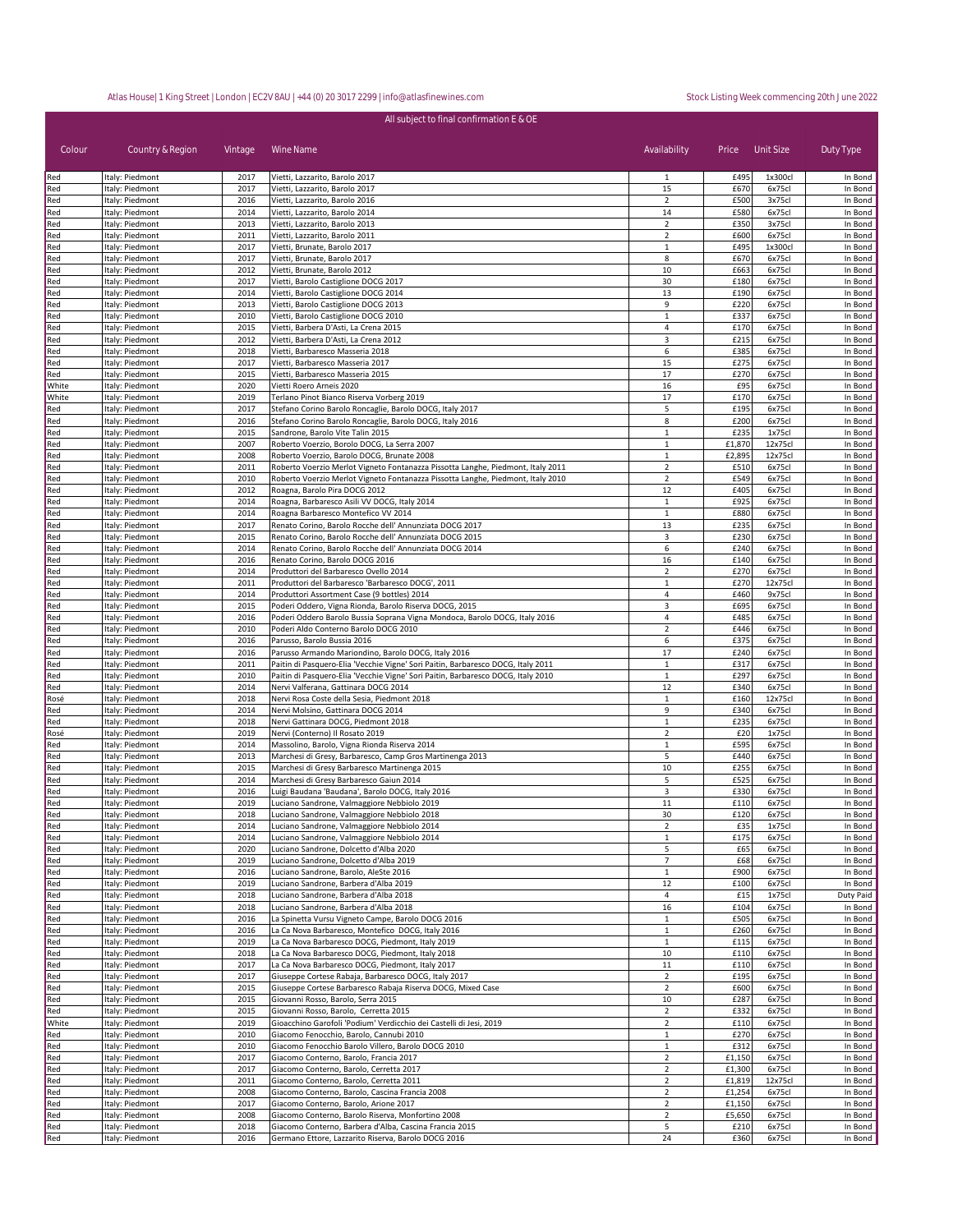| All subject to final confirmation E & OE |                                    |              |                                                                                                                                                                      |                                  |              |                   |                    |  |  |  |
|------------------------------------------|------------------------------------|--------------|----------------------------------------------------------------------------------------------------------------------------------------------------------------------|----------------------------------|--------------|-------------------|--------------------|--|--|--|
|                                          |                                    |              |                                                                                                                                                                      |                                  |              |                   |                    |  |  |  |
| Colour                                   | Country & Region                   | Vintage      | Wine Name                                                                                                                                                            | Availability                     |              | Price Unit Size   | Duty Type          |  |  |  |
| Red                                      | Italy: Piedmont                    | 2017         | Vietti, Lazzarito, Barolo 2017                                                                                                                                       | 1                                | £495         | 1x300cl           | In Bond            |  |  |  |
| Red                                      | Italy: Piedmont                    | 2017         | Vietti, Lazzarito, Barolo 2017                                                                                                                                       | 15                               | £670         | 6x75cl            | In Bond            |  |  |  |
| Red                                      | Italy: Piedmont                    | 2016         | Vietti, Lazzarito, Barolo 2016                                                                                                                                       | $\overline{2}$                   | £500         | 3x75cl            | In Bond            |  |  |  |
| Red                                      | Italy: Piedmont                    | 2014         | Vietti, Lazzarito, Barolo 2014                                                                                                                                       | 14                               | £580         | 6x75cl            | In Bond            |  |  |  |
| Red<br>Red                               | Italy: Piedmont<br>Italy: Piedmont | 2013<br>2011 | Vietti, Lazzarito, Barolo 2013<br>Vietti, Lazzarito, Barolo 2011                                                                                                     | $\overline{2}$<br>$\overline{2}$ | £350<br>£600 | 3x75cl<br>6x75cl  | In Bond<br>In Bond |  |  |  |
| Red                                      | Italy: Piedmont                    | 2017         | Vietti, Brunate, Barolo 2017                                                                                                                                         | $\mathbf{1}$                     | £495         | 1x300cl           | In Bond            |  |  |  |
| Red                                      | Italy: Piedmont                    | 2017         | Vietti, Brunate, Barolo 2017                                                                                                                                         | 8                                | £670         | 6x75cl            | In Bond            |  |  |  |
| Red                                      | Italy: Piedmont                    | 2012         | Vietti, Brunate, Barolo 2012                                                                                                                                         | 10                               | £663         | 6x75cl            | In Bond            |  |  |  |
| Red                                      | Italy: Piedmont                    | 2017         | Vietti, Barolo Castiglione DOCG 2017                                                                                                                                 | 30                               | £180         | 6x75cl            | In Bond            |  |  |  |
| Red                                      | Italy: Piedmont                    | 2014         | Vietti, Barolo Castiglione DOCG 2014                                                                                                                                 | 13                               | £190         | 6x75cl            | In Bond            |  |  |  |
| Red                                      | Italy: Piedmont                    | 2013         | Vietti, Barolo Castiglione DOCG 2013                                                                                                                                 | 9                                | £220         | 6x75cl            | In Bond            |  |  |  |
| Red<br>Red                               | Italy: Piedmont<br>Italy: Piedmont | 2010<br>2015 | Vietti, Barolo Castiglione DOCG 2010<br>Vietti, Barbera D'Asti, La Crena 2015                                                                                        | $\mathbf{1}$<br>4                | £337<br>£170 | 6x75cl<br>6x75cl  | In Bond<br>In Bond |  |  |  |
| Red                                      | Italy: Piedmont                    | 2012         | Vietti, Barbera D'Asti, La Crena 2012                                                                                                                                | 3                                | £215         | 6x75cl            | In Bond            |  |  |  |
| Red                                      | Italy: Piedmont                    | 2018         | Vietti, Barbaresco Masseria 2018                                                                                                                                     | 6                                | £385         | 6x75cl            | In Bond            |  |  |  |
| Red                                      | Italy: Piedmont                    | 2017         | Vietti, Barbaresco Masseria 2017                                                                                                                                     | 15                               | £275         | 6x75cl            | In Bond            |  |  |  |
| Red                                      | Italy: Piedmont                    | 2015         | Vietti, Barbaresco Masseria 2015                                                                                                                                     | 17                               | £270         | 6x75cl            | In Bond            |  |  |  |
| White                                    | Italy: Piedmont                    | 2020         | Vietti Roero Arneis 2020                                                                                                                                             | 16                               | £95          | 6x75cl            | In Bond            |  |  |  |
| White<br>Red                             | Italy: Piedmont<br>Italy: Piedmont | 2019<br>2017 | Terlano Pinot Bianco Riserva Vorberg 2019<br>Stefano Corino Barolo Roncaglie, Barolo DOCG, Italy 2017                                                                | 17<br>5                          | £170<br>£195 | 6x75cl<br>6x75cl  | In Bond<br>In Bond |  |  |  |
| Red                                      | Italy: Piedmont                    | 2016         | Stefano Corino Barolo Roncaglie, Barolo DOCG, Italy 2016                                                                                                             | 8                                | £200         | 6x75cl            | In Bond            |  |  |  |
| Red                                      | Italy: Piedmont                    | 2015         | Sandrone, Barolo Vite Talin 2015                                                                                                                                     | $\mathbf{1}$                     | £235         | 1x75cl            | In Bond            |  |  |  |
| Red                                      | Italy: Piedmont                    | 2007         | Roberto Voerzio, Borolo DOCG, La Serra 2007                                                                                                                          | 1                                | £1,870       | 12x75cl           | In Bond            |  |  |  |
| Red                                      | Italy: Piedmont                    | 2008         | Roberto Voerzio, Barolo DOCG, Brunate 2008                                                                                                                           | $\mathbf{1}$                     | £2,895       | 12x75cl           | In Bond            |  |  |  |
| Red                                      | Italy: Piedmont                    | 2011         | Roberto Voerzio Merlot Vigneto Fontanazza Pissotta Langhe, Piedmont, Italy 2011                                                                                      | $\overline{\mathbf{2}}$          | £510         | 6x75cl            | In Bond            |  |  |  |
| Red                                      | Italy: Piedmont                    | 2010         | Roberto Voerzio Merlot Vigneto Fontanazza Pissotta Langhe, Piedmont, Italy 2010                                                                                      | $\overline{\mathbf{c}}$          | £549         | 6x75cl            | In Bond            |  |  |  |
| Red<br>Red                               | Italy: Piedmont<br>Italy: Piedmont | 2012<br>2014 | Roagna, Barolo Pira DOCG 2012<br>Roagna, Barbaresco Asili VV DOCG, Italy 2014                                                                                        | 12<br>$\mathbf{1}$               | £405<br>£925 | 6x75cl<br>6x75cl  | In Bond<br>In Bond |  |  |  |
| Red                                      | Italy: Piedmont                    | 2014         | Roagna Barbaresco Montefico VV 2014                                                                                                                                  | $\mathbf{1}$                     | £880         | 6x75cl            | In Bond            |  |  |  |
| Red                                      | Italy: Piedmont                    | 2017         | Renato Corino, Barolo Rocche dell' Annunziata DOCG 2017                                                                                                              | 13                               | £235         | 6x75cl            | In Bond            |  |  |  |
| Red                                      | Italy: Piedmont                    | 2015         | Renato Corino, Barolo Rocche dell' Annunziata DOCG 2015                                                                                                              | 3                                | £230         | 6x75cl            | In Bond            |  |  |  |
| Red                                      | Italy: Piedmont                    | 2014         | Renato Corino, Barolo Rocche dell' Annunziata DOCG 2014                                                                                                              | 6                                | £240         | 6x75cl            | In Bond            |  |  |  |
| Red                                      | Italy: Piedmont                    | 2016         | Renato Corino, Barolo DOCG 2016                                                                                                                                      | 16                               | £140         | 6x75cl            | In Bond            |  |  |  |
| Red                                      | Italy: Piedmont                    | 2014<br>2011 | Produttori del Barbaresco Ovello 2014                                                                                                                                | $\overline{2}$<br>$\mathbf{1}$   | £270<br>£270 | 6x75cl<br>12x75cl | In Bond            |  |  |  |
| Red<br>Red                               | Italy: Piedmont<br>Italy: Piedmont | 2014         | Produttori del Barbaresco 'Barbaresco DOCG', 2011<br>Produttori Assortment Case (9 bottles) 2014                                                                     | 4                                | £460         | 9x75cl            | In Bond<br>In Bond |  |  |  |
| Red                                      | Italy: Piedmont                    | 2015         | Poderi Oddero, Vigna Rionda, Barolo Riserva DOCG, 2015                                                                                                               | 3                                | £695         | 6x75cl            | In Bond            |  |  |  |
| Red                                      | Italy: Piedmont                    | 2016         | Poderi Oddero Barolo Bussia Soprana Vigna Mondoca, Barolo DOCG, Italy 2016                                                                                           | 4                                | £485         | 6x75cl            | In Bond            |  |  |  |
| Red                                      | Italy: Piedmont                    | 2010         | Poderi Aldo Conterno Barolo DOCG 2010                                                                                                                                | $\overline{2}$                   | £446         | 6x75cl            | In Bond            |  |  |  |
| Red                                      | Italy: Piedmont                    | 2016         | Parusso, Barolo Bussia 2016                                                                                                                                          | 6                                | £375         | 6x75cl            | In Bond            |  |  |  |
| Red                                      | Italy: Piedmont                    | 2016         | Parusso Armando Mariondino, Barolo DOCG, Italy 2016                                                                                                                  | 17                               | £240         | 6x75cl            | In Bond            |  |  |  |
| Red<br>Red                               | Italy: Piedmont<br>Italy: Piedmont | 2011<br>2010 | Paitin di Pasquero-Elia 'Vecchie Vigne' Sori Paitin, Barbaresco DOCG, Italy 2011<br>Paitin di Pasquero-Elia 'Vecchie Vigne' Sori Paitin, Barbaresco DOCG, Italy 2010 | $\mathbf{1}$<br>$\,1\,$          | £317<br>£297 | 6x75cl<br>6x75cl  | In Bond<br>In Bond |  |  |  |
| Red                                      | Italy: Piedmont                    | 2014         | Nervi Valferana, Gattinara DOCG 2014                                                                                                                                 | 12                               | £340         | 6x75cl            | In Bond            |  |  |  |
| Rosé                                     | Italy: Piedmont                    | 2018         | Nervi Rosa Coste della Sesia, Piedmont 2018                                                                                                                          | $\,1\,$                          | £160         | 12x75cl           | In Bond            |  |  |  |
| Red                                      | Italy: Piedmont                    | 2014         | Nervi Molsino, Gattinara DOCG 2014                                                                                                                                   | 9                                | £340         | 6x75cl            | In Bond            |  |  |  |
| Red                                      | Italy: Piedmont                    | 2018         | Nervi Gattinara DOCG, Piedmont 2018                                                                                                                                  | 1                                | £235         | 6x75cl            | In Bond            |  |  |  |
| Rosé                                     | Italy: Piedmont                    | 2019         | Nervi (Conterno) Il Rosato 2019                                                                                                                                      | $\overline{2}$                   | £20          | 1x75cl            | In Bond            |  |  |  |
| Red                                      | Italy: Piedmont                    | 2014         | Massolino, Barolo, Vigna Rionda Riserva 2014<br>Marchesi di Gresy, Barbaresco, Camp Gros Martinenga 2013                                                             | $\mathbf{1}$<br>5                | £595<br>£440 | 6x75cl            | In Bond            |  |  |  |
| Red<br>Red                               | Italy: Piedmont<br>Italy: Piedmont | 2013<br>2015 | Marchesi di Gresy Barbaresco Martinenga 2015                                                                                                                         | 10                               | £255         | 6x75cl<br>6x75cl  | In Bond<br>In Bond |  |  |  |
| Red                                      | Italy: Piedmont                    | 2014         | Marchesi di Gresy Barbaresco Gaiun 2014                                                                                                                              | 5                                | £525         | 6x75cl            | In Bond            |  |  |  |
| Red                                      | Italy: Piedmont                    | 2016         | Luigi Baudana 'Baudana', Barolo DOCG, Italy 2016                                                                                                                     |                                  | £330         | 6x75cl            | In Bond            |  |  |  |
| Red                                      | Italy: Piedmont                    | 2019         | Luciano Sandrone, Valmaggiore Nebbiolo 2019                                                                                                                          | $11\,$                           | £110         | 6x75cl            | In Bond            |  |  |  |
| Red                                      | Italy: Piedmont                    | 2018         | Luciano Sandrone, Valmaggiore Nebbiolo 2018                                                                                                                          | 30                               | £120         | 6x75cl            | In Bond            |  |  |  |
| Red                                      | Italy: Piedmont                    | 2014         | Luciano Sandrone, Valmaggiore Nebbiolo 2014                                                                                                                          | $\overline{2}$                   | £35          | 1x75cl            | In Bond            |  |  |  |
| Red                                      | Italy: Piedmont                    | 2014<br>2020 | Luciano Sandrone, Valmaggiore Nebbiolo 2014                                                                                                                          | $\mathbf{1}$<br>5                | £175         | 6x75cl<br>6x75cl  | In Bond<br>In Bond |  |  |  |
| Red<br>Red                               | Italy: Piedmont<br>Italy: Piedmont | 2019         | Luciano Sandrone, Dolcetto d'Alba 2020<br>Luciano Sandrone, Dolcetto d'Alba 2019                                                                                     | $\overline{7}$                   | £65<br>£68   | 6x75cl            | In Bond            |  |  |  |
| Red                                      | Italy: Piedmont                    | 2016         | Luciano Sandrone, Barolo, AleSte 2016                                                                                                                                | $\mathbf{1}$                     | £900         | 6x75cl            | In Bond            |  |  |  |
| Red                                      | Italy: Piedmont                    | 2019         | Luciano Sandrone, Barbera d'Alba 2019                                                                                                                                | 12                               | £100         | 6x75cl            | In Bond            |  |  |  |
| Red                                      | Italy: Piedmont                    | 2018         | Luciano Sandrone, Barbera d'Alba 2018                                                                                                                                | 4                                | £15          | 1x75cl            | Duty Paid          |  |  |  |
| Red                                      | Italy: Piedmont                    | 2018         | Luciano Sandrone, Barbera d'Alba 2018                                                                                                                                | 16                               | £104         | 6x75cl            | In Bond            |  |  |  |
| Red                                      | Italy: Piedmont                    | 2016         | La Spinetta Vursu Vigneto Campe, Barolo DOCG 2016                                                                                                                    | $\mathbf{1}$                     | £505         | 6x75cl            | In Bond            |  |  |  |
| Red<br>Red                               | Italy: Piedmont<br>Italy: Piedmont | 2016<br>2019 | La Ca Nova Barbaresco, Montefico DOCG, Italy 2016<br>La Ca Nova Barbaresco DOCG, Piedmont, Italy 2019                                                                | $\mathbf{1}$<br>$\mathbf{1}$     | £260<br>£115 | 6x75cl<br>6x75cl  | In Bond<br>In Bond |  |  |  |
|                                          |                                    |              |                                                                                                                                                                      |                                  |              |                   |                    |  |  |  |

Red Italy: Piedmont 2018 La Ca Nova Barbaresco DOCG, Piedmont, Italy 2018 10 £110 6x75cl In Bond

Red Italy: Piedmont 2015 Giuseppe Cortese Barbaresco Rabaja Riserva DOCG, Mixed Case 2 2 £600 6x75cl In Bond Red Italy: Piedmont 1992 2015 (Giovanni Rosso, Barolo, Serra 2015 10 2015 10 2015 10 E287 6x75cl In Bond In Bond<br>Red Italy: Piedmont 1992 2015 (Giovanni Rosso, Barolo, Cerretta 2015 10 2016 10 2016 1332 6x75cl In Bond Red Italy: Piedmont 2015 Giovanni Rosso, Barolo, Cerretta 2015 2 £332 6x75cl In Bond White Italy: Piedmont 2019 Gioacchino Garofoli 'Podium' Verdicchio dei Castelli di Jesi, 2019 2 £110 6x75cl In Bond<br>1994 Media Italy: Piedmont 2010 Giacomo Fenocchio, Barolo, Cannubi 2010 Red Italy: Piedmont 2010 Giacomo Fenocchio, Barolo, Cannubi 2010<br>Red Italy: Piedmont 2010 Giacomo Fenocchio Barolo Villero, Barolo DOCG 2010 1 £312 6x75cl In Bond Red Italy: Piedmont 2010 Giacomo Fenocchio Barolo Villero, Barolo DOCG 2010 1 £312 6x75cl In Bond

Red Italy: Piedmont 2017 Giacomo Conterno, Barolo, Cerretta 2017 2 £1,300 6x75cl In Bond Red Italy: Piedmont 2011 Giacomo Conterno, Barolo, Cerretta 2011 2 £1,819 12x75cl In Bond Red Italy: Piedmont 1999 2008 2008 Ciacomo Conterno, Barolo, Cascina Francia 2008<br>Red Italy: Piedmont 1990 2017 2017 Ciacomo Conterno, Barolo, Arione 2017

Red Italy: Piedmont 192008 Giacomo Conterno, Barolo Riserva, Monfortino 2008 2 £5,650 6x75cl In Bond Red Italy: Piedmont 2018 Giacomo Conterno, Barbera d'Alba, Cascina Francia 2015 5 £210 6x75cl In Bond Red Italy: Piedmont | 2016 Germano Ettore, Lazzarito Riserva, Barolo DOCG 2016 | 24 | £360 6x75cl In Bond

Red Italy: Piedmont 2017 Giuseppe Cortese Rabaja, Barbaresco DOCG, Italy 2017 2 £195 6x75cl

iacomo Conterno, Barolo, Francia 2017

Giacomo Conterno, Barolo, Arione 2017

La Ca Nova Barbaresco DOCG, Piedmont, Italy 2017 11 1 E110 6x75cl In Bond<br>
Ciuseppe Cortese Rabaja, Barbaresco DOCG, Italy 2017 12 2 E195 6x75cl In Bond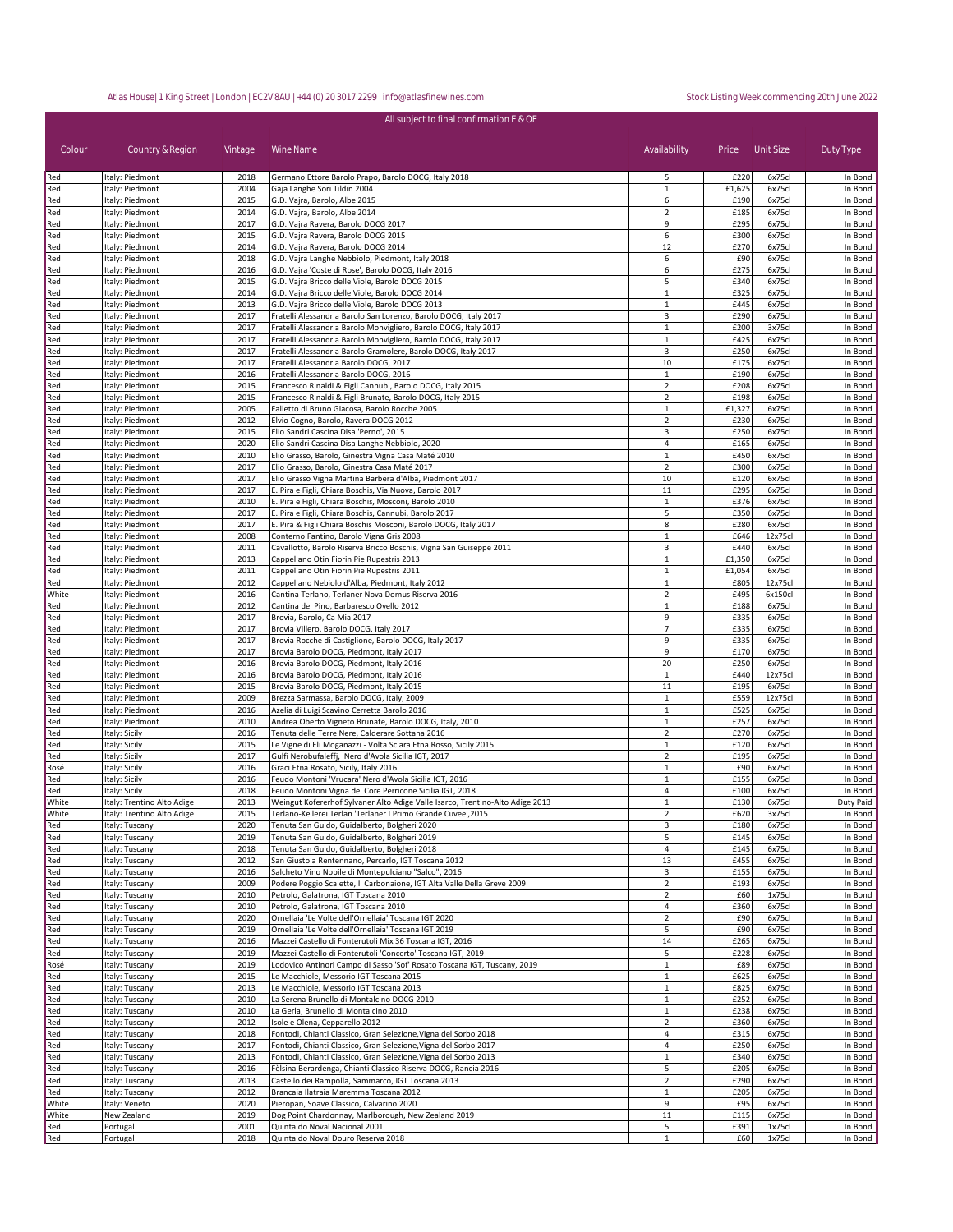## cing 20th June 2022

|            |                                    |              | All subject to final confirmation E & OE                                                           |                              |                  |                  |                    |
|------------|------------------------------------|--------------|----------------------------------------------------------------------------------------------------|------------------------------|------------------|------------------|--------------------|
|            |                                    |              |                                                                                                    |                              |                  |                  |                    |
| Colour     | Country & Region                   | Vintage      | Wine Name                                                                                          | Availability                 | Price Unit Size  |                  | Duty Type          |
| Red        | Italy: Piedmont                    | 2018         | Germano Ettore Barolo Prapo, Barolo DOCG, Italy 2018                                               | 5                            | £220             | 6x75cl           | In Bond            |
| Red        | Italy: Piedmont                    | 2004         | Gaja Langhe Sori Tildin 2004                                                                       | $\mathbf{1}$                 | £1,625           | 6x75cl           | In Bond            |
| Red        | Italy: Piedmont                    | 2015         | G.D. Vajra, Barolo, Albe 2015                                                                      | 6                            | £190             | 6x75cl           | In Bond            |
| Red        | Italy: Piedmont                    | 2014         | G.D. Vajra, Barolo, Albe 2014                                                                      | $\overline{2}$               | £185             | 6x75cl           | In Bond            |
| Red        | Italy: Piedmont                    | 2017         | G.D. Vajra Ravera, Barolo DOCG 2017                                                                | $\overline{9}$               | £295             | 6x75cl           | In Bond            |
| Red        | Italy: Piedmont                    | 2015         | G.D. Vajra Ravera, Barolo DOCG 2015                                                                | 6                            | £300             | 6x75cl           | In Bond            |
| Red        | Italy: Piedmont                    | 2014         | G.D. Vajra Ravera, Barolo DOCG 2014                                                                | 12                           | £270             | 6x75cl           | In Bond            |
| Red        | Italy: Piedmont                    | 2018         | G.D. Vajra Langhe Nebbiolo, Piedmont, Italy 2018                                                   | 6                            | £90              | 6x75cl           | In Bond            |
| Red        | Italy: Piedmont                    | 2016         | G.D. Vajra 'Coste di Rose', Barolo DOCG, Italy 2016                                                | 6                            | £275             | 6x75cl           | In Bond            |
| Red        | Italy: Piedmont                    | 2015         | G.D. Vajra Bricco delle Viole, Barolo DOCG 2015                                                    | 5                            | £340             | 6x75cl           | In Bond            |
| Red<br>Red | Italy: Piedmont<br>Italy: Piedmont | 2014<br>2013 | G.D. Vajra Bricco delle Viole, Barolo DOCG 2014<br>G.D. Vajra Bricco delle Viole, Barolo DOCG 2013 | $\mathbf{1}$<br>$\mathbf{1}$ | £325<br>£445     | 6x75cl<br>6x75cl | In Bond<br>In Bond |
| Red        | Italy: Piedmont                    | 2017         | Fratelli Alessandria Barolo San Lorenzo, Barolo DOCG, Italy 2017                                   | 3                            | £290             | 6x75cl           | In Bond            |
| Red        | Italy: Piedmont                    | 2017         | Fratelli Alessandria Barolo Monvigliero, Barolo DOCG, Italy 2017                                   | $\mathbf{1}$                 | £200             | 3x75cl           | In Bond            |
| Red        | Italy: Piedmont                    | 2017         | Fratelli Alessandria Barolo Monvigliero, Barolo DOCG, Italy 2017                                   | $\mathbf 1$                  | £425             | 6x75cl           | In Bond            |
| Red        | Italy: Piedmont                    | 2017         | Fratelli Alessandria Barolo Gramolere, Barolo DOCG, Italy 2017                                     | 3                            | £250             | 6x75cl           | In Bond            |
| Red        | Italy: Piedmont                    | 2017         | Fratelli Alessandria Barolo DOCG, 2017                                                             | 10                           | £175             | 6x75cl           | In Bond            |
| Red        | Italy: Piedmont                    | 2016         | Fratelli Alessandria Barolo DOCG, 2016                                                             | 1                            | £190             | 6x75cl           | In Bond            |
| Red        | Italy: Piedmont                    | 2015         | Francesco Rinaldi & Figli Cannubi, Barolo DOCG, Italy 2015                                         | $\overline{2}$               | £208             | 6x75cl           | In Bond            |
| Red        | Italy: Piedmont                    | 2015         | Francesco Rinaldi & Figli Brunate, Barolo DOCG, Italy 2015                                         | $\overline{2}$               | £198             | 6x75cl           | In Bond            |
| Red        | Italy: Piedmont                    | 2005         | Falletto di Bruno Giacosa, Barolo Rocche 2005                                                      | $\mathbf{1}$                 | £1,327           | 6x75cl           | In Bond            |
| Red        | Italy: Piedmont                    | 2012         | Elvio Cogno, Barolo, Ravera DOCG 2012                                                              | $\overline{2}$               | £230             | 6x75cl           | In Bond            |
| Red        | Italy: Piedmont                    | 2015         | Elio Sandri Cascina Disa 'Perno', 2015                                                             | 3                            | £250             | 6x75cl           | In Bond            |
| Red        | Italy: Piedmont                    | 2020         | Elio Sandri Cascina Disa Langhe Nebbiolo, 2020                                                     | 4                            | £165             | 6x75cl           | In Bond            |
| Red        | Italy: Piedmont                    | 2010         | Elio Grasso, Barolo, Ginestra Vigna Casa Maté 2010                                                 | $\mathbf{1}$                 | £450             | 6x75cl           | In Bond            |
| Red        | Italy: Piedmont                    | 2017         | Elio Grasso, Barolo, Ginestra Casa Maté 2017                                                       | $\overline{2}$               | £300             | 6x75cl           | In Bond            |
| Red        | Italy: Piedmont                    | 2017         | Elio Grasso Vigna Martina Barbera d'Alba, Piedmont 2017                                            | 10                           | £120             | 6x75cl           | In Bond            |
| Red        | Italy: Piedmont                    | 2017         | E. Pira e Figli, Chiara Boschis, Via Nuova, Barolo 2017                                            | 11                           | £295             | 6x75cl           | In Bond            |
| Red        | Italy: Piedmont                    | 2010         | E. Pira e Figli, Chiara Boschis, Mosconi, Barolo 2010                                              | $\mathbf{1}$                 | £376             | 6x75cl           | In Bond            |
| Red        | Italy: Piedmont                    | 2017         | E. Pira e Figli, Chiara Boschis, Cannubi, Barolo 2017                                              | 5                            | £350             | 6x75cl           | In Bond            |
| Red        | Italy: Piedmont                    | 2017         | E. Pira & Figli Chiara Boschis Mosconi, Barolo DOCG, Italy 2017                                    | 8                            | £280             | 6x75cl           | In Bond            |
| Red        | Italy: Piedmont                    | 2008         | Conterno Fantino, Barolo Vigna Gris 2008                                                           | $\mathbf{1}$                 | £646<br>£440     | 12x75cl          | In Bond            |
| Red        | Italy: Piedmont                    | 2011<br>2013 | Cavallotto, Barolo Riserva Bricco Boschis, Vigna San Guiseppe 2011                                 | $\mathsf 3$<br>$\mathbf{1}$  |                  | 6x75cl<br>6x75cl | In Bond<br>In Bond |
| Red<br>Red | Italy: Piedmont                    | 2011         | Cappellano Otin Fiorin Pie Rupestris 2013<br>Cappellano Otin Fiorin Pie Rupestris 2011             | $\mathbf{1}$                 | £1,350<br>£1,054 | 6x75cl           | In Bond            |
| Red        | Italy: Piedmont<br>Italy: Piedmont | 2012         | Cappellano Nebiolo d'Alba, Piedmont, Italy 2012                                                    | $\mathbf{1}$                 | £805             | 12x75cl          | In Bond            |
| White      | Italy: Piedmont                    | 2016         | Cantina Terlano, Terlaner Nova Domus Riserva 2016                                                  | $\overline{2}$               | £495             | 6x150cl          | In Bond            |
| Red        | Italy: Piedmont                    | 2012         | Cantina del Pino, Barbaresco Ovello 2012                                                           | $\mathbf{1}$                 | £188             | 6x75cl           | In Bond            |
| Red        | Italy: Piedmont                    | 2017         | Brovia, Barolo, Ca Mia 2017                                                                        | 9                            | £335             | 6x75cl           | In Bond            |
| Red        | Italy: Piedmont                    | 2017         | Brovia Villero, Barolo DOCG, Italy 2017                                                            | $\overline{7}$               | £335             | 6x75cl           | In Bond            |
| Red        | Italy: Piedmont                    | 2017         | Brovia Rocche di Castiglione, Barolo DOCG, Italy 2017                                              | $\overline{9}$               | £335             | 6x75cl           | In Bond            |
| Red        | Italy: Piedmont                    | 2017         | Brovia Barolo DOCG, Piedmont, Italy 2017                                                           | 9                            | £170             | 6x75cl           | In Bond            |
| Red        | Italy: Piedmont                    | 2016         | Brovia Barolo DOCG, Piedmont, Italy 2016                                                           | 20                           | £250             | 6x75cl           | In Bond            |
| Red        | Italy: Piedmont                    | 2016         | Brovia Barolo DOCG, Piedmont, Italy 2016                                                           | $\mathbf{1}$                 | £440             | 12x75cl          | In Bond            |
| Red        | Italy: Piedmont                    | 2015         | Brovia Barolo DOCG, Piedmont, Italy 2015                                                           | 11                           | £195             | 6x75cl           | In Bond            |
| Red        | Italy: Piedmont                    | 2009         | Brezza Sarmassa, Barolo DOCG, Italy, 2009                                                          | $\mathbf{1}$                 | £559             | 12x75cl          | In Bond            |
| Red        | Italy: Piedmont                    | 2016         | Azelia di Luigi Scavino Cerretta Barolo 2016                                                       | $\mathbf 1$                  | £525             | 6x75cl           | In Bond            |
| Red        | Italy: Piedmont                    | 2010         | Andrea Oberto Vigneto Brunate, Barolo DOCG, Italy, 2010                                            | $\mathbf{1}$                 | £257             | 6x75cl           | In Bond            |
| Red        | Italy: Sicily                      | 2016         | Tenuta delle Terre Nere, Calderare Sottana 2016                                                    | $\overline{2}$               | £270             | 6x75cl           | In Bond            |
| Red        | Italy: Sicily                      | 2015         | Le Vigne di Eli Moganazzi - Volta Sciara Etna Rosso, Sicily 2015                                   | $\mathbf{1}$                 | £120             | 6x75cl           | In Bond            |
| Red        | Italy: Sicily                      | 2017         | Gulfi Nerobufaleffj, Nero d'Avola Sicilia IGT, 2017                                                | $\overline{2}$               | £195             | 6x75cl           | In Bond            |
| Rosé       | Italy: Sicily                      | 2016         | Graci Etna Rosato, Sicily, Italy 2016                                                              | $\mathbf{1}$                 | £90              | 6x75cl           | In Bond            |
| Red        | Italy: Sicily                      | 2016         | Feudo Montoni 'Vrucara' Nero d'Avola Sicilia IGT, 2016                                             | $\mathbf{1}$                 | £155             | 6x75cl           | In Bond            |

| Red   | Italy: Piedmont            | 2012 | Cappellano Nebiolo d'Alba, Piedmont, Italy 2012                               | 1              | £805 | 12x75cl | In Bond   |
|-------|----------------------------|------|-------------------------------------------------------------------------------|----------------|------|---------|-----------|
| White | Italy: Piedmont            | 2016 | Cantina Terlano, Terlaner Nova Domus Riserva 2016                             | $\overline{2}$ | £495 | 6x150cl | In Bond   |
| Red   | Italy: Piedmont            | 2012 | Cantina del Pino, Barbaresco Ovello 2012                                      | $\mathbf{1}$   | £188 | 6x75cl  | In Bond   |
| Red   | Italy: Piedmont            | 2017 | Brovia, Barolo, Ca Mia 2017                                                   | 9              | £335 | 6x75cl  | In Bond   |
| Red   | Italy: Piedmont            | 2017 | Brovia Villero, Barolo DOCG, Italy 2017                                       | $\overline{7}$ | £335 | 6x75cl  | In Bond   |
| Red   | Italy: Piedmont            | 2017 | Brovia Rocche di Castiglione, Barolo DOCG, Italy 2017                         | 9              | £335 | 6x75cl  | In Bond   |
| Red   | Italy: Piedmont            | 2017 | Brovia Barolo DOCG, Piedmont, Italy 2017                                      | 9              | £170 | 6x75cl  | In Bond   |
| Red   | Italy: Piedmont            | 2016 | Brovia Barolo DOCG, Piedmont, Italy 2016                                      | 20             | £250 | 6x75cl  | In Bond   |
| Red   | Italy: Piedmont            | 2016 | Brovia Barolo DOCG, Piedmont, Italy 2016                                      | $\mathbf{1}$   | £440 | 12x75cl | In Bond   |
| Red   | Italy: Piedmont            | 2015 | Brovia Barolo DOCG, Piedmont, Italy 2015                                      | 11             | £195 | 6x75cl  | In Bond   |
| Red   | Italy: Piedmont            | 2009 | Brezza Sarmassa, Barolo DOCG, Italy, 2009                                     | $\mathbf{1}$   | £559 | 12x75cl | In Bond   |
| Red   | Italy: Piedmont            | 2016 | Azelia di Luigi Scavino Cerretta Barolo 2016                                  | $\mathbf{1}$   | £525 | 6x75cl  | In Bond   |
| Red   | Italy: Piedmont            | 2010 | Andrea Oberto Vigneto Brunate, Barolo DOCG, Italy, 2010                       | $\mathbf{1}$   | £257 | 6x75cl  | In Bond   |
| Red   | Italy: Sicily              | 2016 | Tenuta delle Terre Nere, Calderare Sottana 2016                               | $\overline{2}$ | £270 | 6x75cl  | In Bond   |
| Red   | Italy: Sicily              | 2015 | Le Vigne di Eli Moganazzi - Volta Sciara Etna Rosso, Sicily 2015              | $\mathbf{1}$   | £120 | 6x75cl  | In Bond   |
| Red   | Italy: Sicily              | 2017 | Gulfi Nerobufaleffj, Nero d'Avola Sicilia IGT, 2017                           | $\overline{2}$ | £195 | 6x75cl  | In Bond   |
| Rosé  | Italy: Sicily              | 2016 | Graci Etna Rosato, Sicily, Italy 2016                                         | 1              | £90  | 6x75cl  | In Bond   |
| Red   | Italy: Sicily              | 2016 | Feudo Montoni 'Vrucara' Nero d'Avola Sicilia IGT, 2016                        | $\mathbf{1}$   | £155 | 6x75cl  | In Bond   |
| Red   | Italy: Sicily              | 2018 | Feudo Montoni Vigna del Core Perricone Sicilia IGT, 2018                      | 4              | £100 | 6x75cl  | In Bond   |
| White | Italy: Trentino Alto Adige | 2013 | Weingut Kofererhof Sylvaner Alto Adige Valle Isarco, Trentino-Alto Adige 2013 | $\mathbf{1}$   | £130 | 6x75cl  | Duty Paid |
| White | Italy: Trentino Alto Adige | 2015 | Terlano-Kellerei Terlan 'Terlaner I Primo Grande Cuvee', 2015                 | $\overline{2}$ | £620 | 3x75cl  | In Bond   |
| Red   | Italy: Tuscany             | 2020 | Tenuta San Guido, Guidalberto, Bolgheri 2020                                  | 3              | £180 | 6x75cl  | In Bond   |
| Red   | Italy: Tuscany             | 2019 | Tenuta San Guido, Guidalberto, Bolgheri 2019                                  | 5              | £145 | 6x75cl  | In Bond   |
| Red   | Italy: Tuscany             | 2018 | Tenuta San Guido, Guidalberto, Bolgheri 2018                                  | $\overline{4}$ | £145 | 6x75cl  | In Bond   |
| Red   | Italy: Tuscany             | 2012 | San Giusto a Rentennano, Percarlo, IGT Toscana 2012                           | 13             | £455 | 6x75cl  | In Bond   |
| Red   | Italy: Tuscany             | 2016 | Salcheto Vino Nobile di Montepulciano "Salco", 2016                           | 3              | £155 | 6x75cl  | In Bond   |
| Red   | Italy: Tuscany             | 2009 | Podere Poggio Scalette, Il Carbonaione, IGT Alta Valle Della Greve 2009       | $\overline{2}$ | £193 | 6x75cl  | In Bond   |
| Red   | Italy: Tuscany             | 2010 | Petrolo, Galatrona, IGT Toscana 2010                                          | $\overline{2}$ | £60  | 1x75cl  | In Bond   |
| Red   | Italy: Tuscany             | 2010 | Petrolo, Galatrona, IGT Toscana 2010                                          | 4              | £360 | 6x75cl  | In Bond   |
| Red   | Italy: Tuscany             | 2020 | Ornellaia 'Le Volte dell'Ornellaia' Toscana IGT 2020                          | $\overline{2}$ | £90  | 6x75cl  | In Bond   |
| Red   | Italy: Tuscany             | 2019 | Ornellaia 'Le Volte dell'Ornellaia' Toscana IGT 2019                          | 5              | £90  | 6x75cl  | In Bond   |
| Red   | Italy: Tuscany             | 2016 | Mazzei Castello di Fonterutoli Mix 36 Toscana IGT, 2016                       | 14             | £265 | 6x75cl  | In Bond   |
| Red   | Italy: Tuscany             | 2019 | Mazzei Castello di Fonterutoli 'Concerto' Toscana IGT, 2019                   | 5              | £228 | 6x75cl  | In Bond   |
| Rosé  | Italy: Tuscany             | 2019 | Lodovico Antinori Campo di Sasso 'Sof' Rosato Toscana IGT, Tuscany, 2019      | $\mathbf{1}$   | £89  | 6x75cl  | In Bond   |
| Red   | Italy: Tuscany             | 2015 | Le Macchiole, Messorio IGT Toscana 2015                                       | $\mathbf{1}$   | £625 | 6x75cl  | In Bond   |
| Red   | Italy: Tuscany             | 2013 | Le Macchiole, Messorio IGT Toscana 2013                                       | $\mathbf{1}$   | £825 | 6x75cl  | In Bond   |
| Red   | Italy: Tuscany             | 2010 | La Serena Brunello di Montalcino DOCG 2010                                    | $\mathbf 1$    | £252 | 6x75cl  | In Bond   |
| Red   | Italy: Tuscany             | 2010 | La Gerla, Brunello di Montalcino 2010                                         | $\mathbf{1}$   | £238 | 6x75cl  | In Bond   |
| Red   | Italy: Tuscany             | 2012 | Isole e Olena, Cepparello 2012                                                | $\overline{2}$ | £360 | 6x75cl  | In Bond   |
| Red   | Italy: Tuscany             | 2018 | Fontodi, Chianti Classico, Gran Selezione, Vigna del Sorbo 2018               | $\overline{4}$ | £315 | 6x75cl  | In Bond   |
| Red   | Italy: Tuscany             | 2017 | Fontodi, Chianti Classico, Gran Selezione, Vigna del Sorbo 2017               | $\overline{4}$ | £250 | 6x75cl  | In Bond   |
| Red   | Italy: Tuscany             | 2013 | Fontodi, Chianti Classico, Gran Selezione, Vigna del Sorbo 2013               | $\mathbf 1$    | £340 | 6x75cl  | In Bond   |
| Red   | Italy: Tuscany             | 2016 | Fèlsina Berardenga, Chianti Classico Riserva DOCG, Rancia 2016                | 5              | £205 | 6x75cl  | In Bond   |
| Red   | Italy: Tuscany             | 2013 | Castello dei Rampolla, Sammarco, IGT Toscana 2013                             | $\overline{2}$ | £290 | 6x75cl  | In Bond   |
| Red   | Italy: Tuscany             | 2012 | Brancaia Ilatraia Maremma Toscana 2012                                        | $\mathbf{1}$   | £205 | 6x75cl  | In Bond   |
| White | Italy: Veneto              | 2020 | Pieropan, Soave Classico, Calvarino 2020                                      | 9              | £95  | 6x75cl  | In Bond   |
| White | New Zealand                | 2019 | Dog Point Chardonnay, Marlborough, New Zealand 2019                           | 11             | £115 | 6x75cl  | In Bond   |
| Red   | Portugal                   | 2001 | Quinta do Noval Nacional 2001                                                 | 5              | £391 | 1x75cl  | In Bond   |
| Red   | Portugal                   | 2018 | Quinta do Noval Douro Reserva 2018                                            | $\mathbf 1$    | £60  | 1x75cl  | In Bond   |